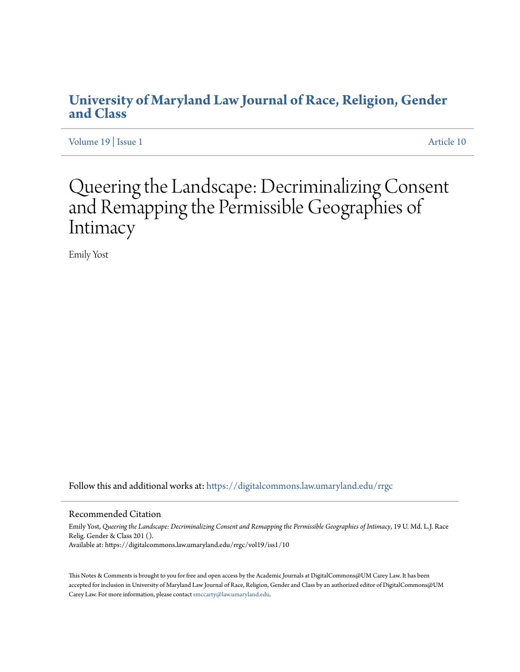## **[University of Maryland Law Journal of Race, Religion, Gender](https://digitalcommons.law.umaryland.edu/rrgc?utm_source=digitalcommons.law.umaryland.edu%2Frrgc%2Fvol19%2Fiss1%2F10&utm_medium=PDF&utm_campaign=PDFCoverPages) [and Class](https://digitalcommons.law.umaryland.edu/rrgc?utm_source=digitalcommons.law.umaryland.edu%2Frrgc%2Fvol19%2Fiss1%2F10&utm_medium=PDF&utm_campaign=PDFCoverPages)**

[Volume 19](https://digitalcommons.law.umaryland.edu/rrgc/vol19?utm_source=digitalcommons.law.umaryland.edu%2Frrgc%2Fvol19%2Fiss1%2F10&utm_medium=PDF&utm_campaign=PDFCoverPages) | [Issue 1](https://digitalcommons.law.umaryland.edu/rrgc/vol19/iss1?utm_source=digitalcommons.law.umaryland.edu%2Frrgc%2Fvol19%2Fiss1%2F10&utm_medium=PDF&utm_campaign=PDFCoverPages) [Article 10](https://digitalcommons.law.umaryland.edu/rrgc/vol19/iss1/10?utm_source=digitalcommons.law.umaryland.edu%2Frrgc%2Fvol19%2Fiss1%2F10&utm_medium=PDF&utm_campaign=PDFCoverPages)

# Queering the Landscape: Decriminalizing Consent and Remapping the Permissible Geographies of Intimacy

Emily Yost

Follow this and additional works at: [https://digitalcommons.law.umaryland.edu/rrgc](https://digitalcommons.law.umaryland.edu/rrgc?utm_source=digitalcommons.law.umaryland.edu%2Frrgc%2Fvol19%2Fiss1%2F10&utm_medium=PDF&utm_campaign=PDFCoverPages)

#### Recommended Citation

Emily Yost, *Queering the Landscape: Decriminalizing Consent and Remapping the Permissible Geographies of Intimacy*, 19 U. Md. L.J. Race Relig. Gender & Class 201 (). Available at: https://digitalcommons.law.umaryland.edu/rrgc/vol19/iss1/10

This Notes & Comments is brought to you for free and open access by the Academic Journals at DigitalCommons@UM Carey Law. It has been accepted for inclusion in University of Maryland Law Journal of Race, Religion, Gender and Class by an authorized editor of DigitalCommons@UM Carey Law. For more information, please contact [smccarty@law.umaryland.edu](mailto:smccarty@law.umaryland.edu).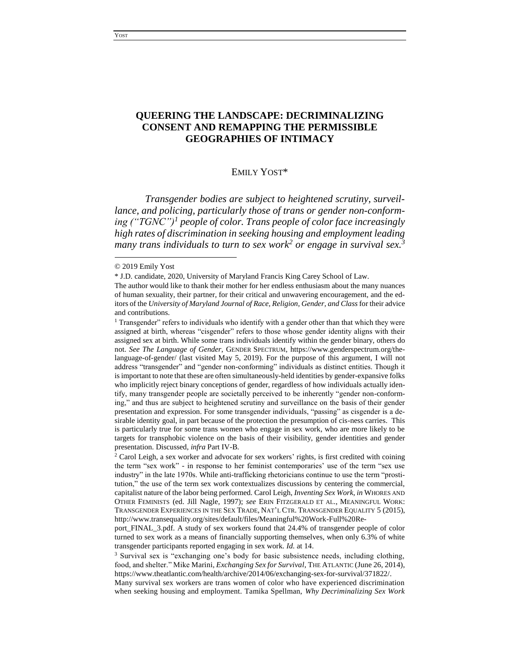## **QUEERING THE LANDSCAPE: DECRIMINALIZING CONSENT AND REMAPPING THE PERMISSIBLE GEOGRAPHIES OF INTIMACY**

#### EMILY YOST\*

*Transgender bodies are subject to heightened scrutiny, surveillance, and policing, particularly those of trans or gender non-conforming ("TGNC")<sup>1</sup> people of color. Trans people of color face increasingly high rates of discrimination in seeking housing and employment leading many trans individuals to turn to sex work<sup>2</sup> or engage in survival sex.<sup>3</sup>*

<sup>© 2019</sup> Emily Yost

<sup>\*</sup> J.D. candidate, 2020, University of Maryland Francis King Carey School of Law.

The author would like to thank their mother for her endless enthusiasm about the many nuances of human sexuality, their partner, for their critical and unwavering encouragement, and the editors of the *University of Maryland Journal of Race, Religion, Gender, and Class* for their advice and contributions.

<sup>1</sup> Transgender" refers to individuals who identify with a gender other than that which they were assigned at birth, whereas "cisgender" refers to those whose gender identity aligns with their assigned sex at birth. While some trans individuals identify within the gender binary, others do not. *See The Language of Gender*, GENDER SPECTRUM, https://www.genderspectrum.org/thelanguage-of-gender/ (last visited May 5, 2019). For the purpose of this argument, I will not address "transgender" and "gender non-conforming" individuals as distinct entities. Though it is important to note that these are often simultaneously-held identities by gender-expansive folks who implicitly reject binary conceptions of gender, regardless of how individuals actually identify, many transgender people are societally perceived to be inherently "gender non-conforming," and thus are subject to heightened scrutiny and surveillance on the basis of their gender presentation and expression. For some transgender individuals, "passing" as cisgender is a desirable identity goal, in part because of the protection the presumption of cis-ness carries. This is particularly true for some trans women who engage in sex work, who are more likely to be targets for transphobic violence on the basis of their visibility, gender identities and gender presentation. Discussed*, infra* Part IV-B.

 $2$  Carol Leigh, a sex worker and advocate for sex workers' rights, is first credited with coining the term "sex work" - in response to her feminist contemporaries' use of the term "sex use industry" in the late 1970s. While anti-trafficking rhetoricians continue to use the term "prostitution," the use of the term sex work contextualizes discussions by centering the commercial, capitalist nature of the labor being performed. Carol Leigh, *Inventing Sex Work*, *in* WHORES AND OTHER FEMINISTS (ed. Jill Nagle, 1997); *see* ERIN FITZGERALD ET AL., MEANINGFUL WORK: TRANSGENDER EXPERIENCES IN THE SEX TRADE, NAT'L CTR. TRANSGENDER EQUALITY 5 (2015), http://www.transequality.org/sites/default/files/Meaningful%20Work-Full%20Re-

port\_FINAL\_3.pdf. A study of sex workers found that 24.4% of transgender people of color turned to sex work as a means of financially supporting themselves, when only 6.3% of white transgender participants reported engaging in sex work. *Id.* at 14.

<sup>&</sup>lt;sup>3</sup> Survival sex is "exchanging one's body for basic subsistence needs, including clothing, food, and shelter." Mike Marini, *Exchanging Sex for Survival*, THE ATLANTIC (June 26, 2014), https://www.theatlantic.com/health/archive/2014/06/exchanging-sex-for-survival/371822/.

Many survival sex workers are trans women of color who have experienced discrimination when seeking housing and employment. Tamika Spellman, *Why Decriminalizing Sex Work*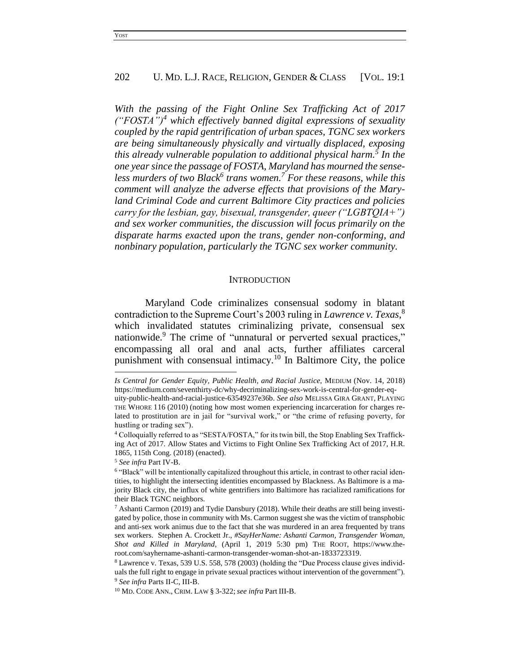*With the passing of the Fight Online Sex Trafficking Act of 2017 ("FOSTA")<sup>4</sup> which effectively banned digital expressions of sexuality coupled by the rapid gentrification of urban spaces, TGNC sex workers are being simultaneously physically and virtually displaced, exposing this already vulnerable population to additional physical harm.<sup>5</sup> In the one year since the passage of FOSTA, Maryland has mourned the senseless murders of two Black<sup>6</sup> trans women.<sup>7</sup> For these reasons, while this comment will analyze the adverse effects that provisions of the Maryland Criminal Code and current Baltimore City practices and policies carry for the lesbian, gay, bisexual, transgender, queer ("LGBTQIA+") and sex worker communities, the discussion will focus primarily on the disparate harms exacted upon the trans, gender non-conforming, and nonbinary population, particularly the TGNC sex worker community.*

#### **INTRODUCTION**

Maryland Code criminalizes consensual sodomy in blatant contradiction to the Supreme Court's 2003 ruling in *Lawrence v. Texas*, 8 which invalidated statutes criminalizing private, consensual sex nationwide.<sup>9</sup> The crime of "unnatural or perverted sexual practices," encompassing all oral and anal acts, further affiliates carceral punishment with consensual intimacy.<sup>10</sup> In Baltimore City, the police

*Is Central for Gender Equity, Public Health, and Racial Justice*, MEDIUM (Nov. 14, 2018) https://medium.com/seventhirty-dc/why-decriminalizing-sex-work-is-central-for-gender-equity-public-health-and-racial-justice-63549237e36b. *See also* MELISSA GIRA GRANT, PLAYING THE WHORE 116 (2010) (noting how most women experiencing incarceration for charges related to prostitution are in jail for "survival work," or "the crime of refusing poverty, for hustling or trading sex").

<sup>4</sup> Colloquially referred to as "SESTA/FOSTA," for its twin bill, the Stop Enabling Sex Trafficking Act of 2017. Allow States and Victims to Fight Online Sex Trafficking Act of 2017, H.R. 1865, 115th Cong. (2018) (enacted).

<sup>5</sup> *See infra* Part IV-B.

<sup>&</sup>lt;sup>6</sup> "Black" will be intentionally capitalized throughout this article, in contrast to other racial identities, to highlight the intersecting identities encompassed by Blackness. As Baltimore is a majority Black city, the influx of white gentrifiers into Baltimore has racialized ramifications for their Black TGNC neighbors.

<sup>&</sup>lt;sup>7</sup> Ashanti Carmon (2019) and Tydie Dansbury (2018). While their deaths are still being investigated by police, those in community with Ms. Carmon suggest she was the victim of transphobic and anti-sex work animus due to the fact that she was murdered in an area frequented by trans sex workers. Stephen A. Crockett Jr., *#SayHerName: Ashanti Carmon, Transgender Woman, Shot and Killed in Maryland*, (April 1, 2019 5:30 pm) THE ROOT, https://www.theroot.com/sayhername-ashanti-carmon-transgender-woman-shot-an-1833723319.

<sup>8</sup> Lawrence v. Texas, 539 U.S. 558, 578 (2003) (holding the "Due Process clause gives individuals the full right to engage in private sexual practices without intervention of the government"). <sup>9</sup> *See infra* Parts II-C, III-B.

<sup>10</sup> MD. CODE ANN., CRIM. LAW § 3-322; *see infra* Part III-B.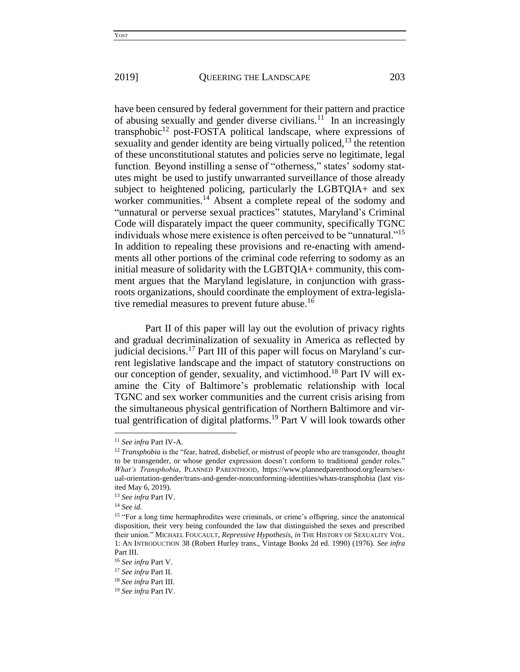have been censured by federal government for their pattern and practice of abusing sexually and gender diverse civilians.<sup>11</sup> In an increasingly transphobic<sup>12</sup> post-FOSTA political landscape, where expressions of sexuality and gender identity are being virtually policed, $13$  the retention of these unconstitutional statutes and policies serve no legitimate, legal function. Beyond instilling a sense of "otherness," states' sodomy statutes might be used to justify unwarranted surveillance of those already subject to heightened policing, particularly the LGBTQIA+ and sex worker communities.<sup>14</sup> Absent a complete repeal of the sodomy and "unnatural or perverse sexual practices" statutes, Maryland's Criminal Code will disparately impact the queer community, specifically TGNC individuals whose mere existence is often perceived to be "unnatural."<sup>15</sup> In addition to repealing these provisions and re-enacting with amendments all other portions of the criminal code referring to sodomy as an initial measure of solidarity with the LGBTQIA+ community, this comment argues that the Maryland legislature, in conjunction with grassroots organizations, should coordinate the employment of extra-legislative remedial measures to prevent future abuse.<sup>16</sup>

Part II of this paper will lay out the evolution of privacy rights and gradual decriminalization of sexuality in America as reflected by iudicial decisions.<sup>17</sup> Part III of this paper will focus on Maryland's current legislative landscape and the impact of statutory constructions on our conception of gender, sexuality, and victimhood.<sup>18</sup> Part IV will examine the City of Baltimore's problematic relationship with local TGNC and sex worker communities and the current crisis arising from the simultaneous physical gentrification of Northern Baltimore and virtual gentrification of digital platforms.<sup>19</sup> Part V will look towards other

<sup>11</sup> *See infra* Part IV-A.

<sup>&</sup>lt;sup>12</sup> *Transphobia* is the "fear, hatred, disbelief, or mistrust of people who are transgender, thought to be transgender, or whose gender expression doesn't conform to traditional gender roles." *What's Transphobia*, PLANNED PARENTHOOD, https://www.plannedparenthood.org/learn/sexual-orientation-gender/trans-and-gender-nonconforming-identities/whats-transphobia (last visited May 6, 2019).

<sup>13</sup> *See infra* Part IV.

<sup>14</sup> *See id.*

<sup>&</sup>lt;sup>15</sup> "For a long time hermaphrodites were criminals, or crime's offspring, since the anatomical disposition, their very being confounded the law that distinguished the sexes and prescribed their union." MICHAEL FOUCAULT, *Repressive Hypothesis, in* THE HISTORY OF SEXUALITY VOL. 1: AN INTRODUCTION 38 (Robert Hurley trans., Vintage Books 2d ed. 1990) (1976). *See infra*  Part III.

<sup>16</sup> *See infra* Part V.

<sup>17</sup> *See infra* Part II.

<sup>18</sup> *See infra* Part III.

<sup>19</sup> *See infra* Part IV.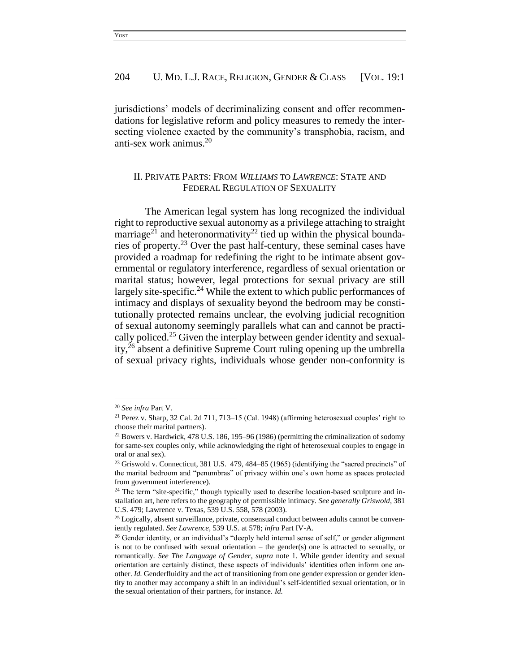jurisdictions' models of decriminalizing consent and offer recommendations for legislative reform and policy measures to remedy the intersecting violence exacted by the community's transphobia, racism, and anti-sex work animus.<sup>20</sup>

## II. PRIVATE PARTS: FROM *WILLIAMS* TO *LAWRENCE*: STATE AND FEDERAL REGULATION OF SEXUALITY

The American legal system has long recognized the individual right to reproductive sexual autonomy as a privilege attaching to straight marriage<sup>21</sup> and heteronormativity<sup>22</sup> tied up within the physical boundaries of property.<sup>23</sup> Over the past half-century, these seminal cases have provided a roadmap for redefining the right to be intimate absent governmental or regulatory interference, regardless of sexual orientation or marital status; however, legal protections for sexual privacy are still largely site-specific.<sup>24</sup> While the extent to which public performances of intimacy and displays of sexuality beyond the bedroom may be constitutionally protected remains unclear, the evolving judicial recognition of sexual autonomy seemingly parallels what can and cannot be practically policed.<sup>25</sup> Given the interplay between gender identity and sexuality,<sup>26</sup> absent a definitive Supreme Court ruling opening up the umbrella of sexual privacy rights, individuals whose gender non-conformity is

<sup>20</sup> *See infra* Part V.

<sup>21</sup> Perez v. Sharp, 32 Cal. 2d 711, 713–15 (Cal. 1948) (affirming heterosexual couples' right to choose their marital partners).

<sup>22</sup> Bowers v. Hardwick, 478 U.S. 186, 195–96 (1986) (permitting the criminalization of sodomy for same-sex couples only, while acknowledging the right of heterosexual couples to engage in oral or anal sex).

<sup>&</sup>lt;sup>23</sup> Griswold v. Connecticut, 381 U.S.  $479,484-85$  (1965) (identifying the "sacred precincts" of the marital bedroom and "penumbras" of privacy within one's own home as spaces protected from government interference).

<sup>&</sup>lt;sup>24</sup> The term "site-specific," though typically used to describe location-based sculpture and installation art, here refers to the geography of permissible intimacy. *See generally Griswold*, 381 U.S. 479; Lawrence v. Texas, 539 U.S. 558, 578 (2003).

<sup>&</sup>lt;sup>25</sup> Logically, absent surveillance, private, consensual conduct between adults cannot be conveniently regulated. *See Lawrence*, 539 U.S. at 578; *infra* Part IV-A.

<sup>&</sup>lt;sup>26</sup> Gender identity, or an individual's "deeply held internal sense of self," or gender alignment is not to be confused with sexual orientation  $-$  the gender(s) one is attracted to sexually, or romantically. *See The Language of Gender*, *supra* note 1. While gender identity and sexual orientation are certainly distinct, these aspects of individuals' identities often inform one another. *Id.* Genderfluidity and the act of transitioning from one gender expression or gender identity to another may accompany a shift in an individual's self-identified sexual orientation, or in the sexual orientation of their partners, for instance. *Id.*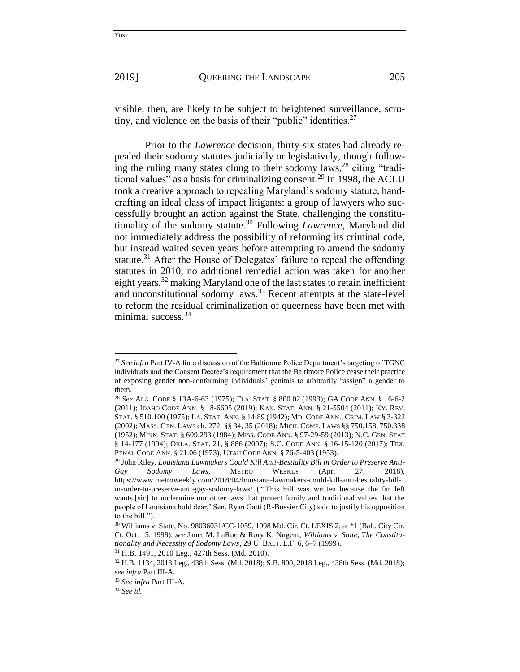visible, then, are likely to be subject to heightened surveillance, scrutiny, and violence on the basis of their "public" identities.<sup>27</sup>

Prior to the *Lawrence* decision, thirty-six states had already repealed their sodomy statutes judicially or legislatively, though following the ruling many states clung to their sodomy laws,  $28$  citing "traditional values" as a basis for criminalizing consent.<sup>29</sup> In 1998, the ACLU took a creative approach to repealing Maryland's sodomy statute, handcrafting an ideal class of impact litigants: a group of lawyers who successfully brought an action against the State, challenging the constitutionality of the sodomy statute. <sup>30</sup> Following *Lawrence*, Maryland did not immediately address the possibility of reforming its criminal code, but instead waited seven years before attempting to amend the sodomy statute.<sup>31</sup> After the House of Delegates' failure to repeal the offending statutes in 2010, no additional remedial action was taken for another eight years,<sup>32</sup> making Maryland one of the last states to retain inefficient and unconstitutional sodomy laws.<sup>33</sup> Recent attempts at the state-level to reform the residual criminalization of queerness have been met with minimal success.<sup>34</sup>

<sup>&</sup>lt;sup>27</sup> See infra Part IV-A for a discussion of the Baltimore Police Department's targeting of TGNC individuals and the Consent Decree's requirement that the Baltimore Police cease their practice of exposing gender non-conforming individuals' genitals to arbitrarily "assign" a gender to them.

<sup>28</sup> *See* ALA. CODE § 13A-6-63 (1975); FLA. STAT. § 800.02 (1993); GA CODE ANN. § 16-6-2 (2011); IDAHO CODE ANN. § 18-6605 (2019); KAN. STAT. ANN. § 21-5504 (2011); KY. REV. STAT. § 510.100 (1975); LA. STAT. ANN. § 14:89 (1942); MD. CODE ANN., CRIM. LAW § 3-322 (2002); MASS. GEN. LAWS ch. 272, §§ 34, 35 (2018); MICH. COMP. LAWS §§ 750.158, 750.338 (1952); MINN. STAT. § 609.293 (1984); MISS. CODE ANN. § 97-29-59 (2013); N.C. GEN. STAT § 14-177 (1994); OKLA. STAT. 21, § 886 (2007); S.C. CODE ANN. § 16-15-120 (2017); TEX. PENAL CODE ANN. § 21.06 (1973); UTAH CODE ANN. § 76-5-403 (1953).

<sup>29</sup> John Riley, *Louisiana Lawmakers Could Kill Anti-Bestiality Bill in Order to Preserve Anti-Gay Sodomy Laws*, METRO WEEKLY (Apr. 27, 2018), https://www.metroweekly.com/2018/04/louisiana-lawmakers-could-kill-anti-bestiality-billin-order-to-preserve-anti-gay-sodomy-laws/ ("'This bill was written because the far left wants [sic] to undermine our other laws that protect family and traditional values that the people of Louisiana hold dear,' Sen. Ryan Gatti (R-Bossier City) said to justify his opposition to the bill.").

<sup>30</sup> Williams v. State, No. 98036031/CC-1059, 1998 Md. Cir. Ct. LEXIS 2, at \*1 (Balt. City Cir. Ct. Oct. 15, 1998); *see* Janet M. LaRue & Rory K. Nugent, *Williams v. State, The Constitutionality and Necessity of Sodomy Laws*, 29 U. BALT. L.F. 6, 6–7 (1999).

<sup>31</sup> H.B. 1491, 2010 Leg., 427th Sess. (Md. 2010).

<sup>32</sup> H.B. 1134, 2018 Leg., 438th Sess. (Md. 2018); S.B. 800, 2018 Leg., 438th Sess. (Md. 2018); *see infra* Part III-A.

<sup>33</sup> *See infra* Part III-A.

<sup>34</sup> *See id.*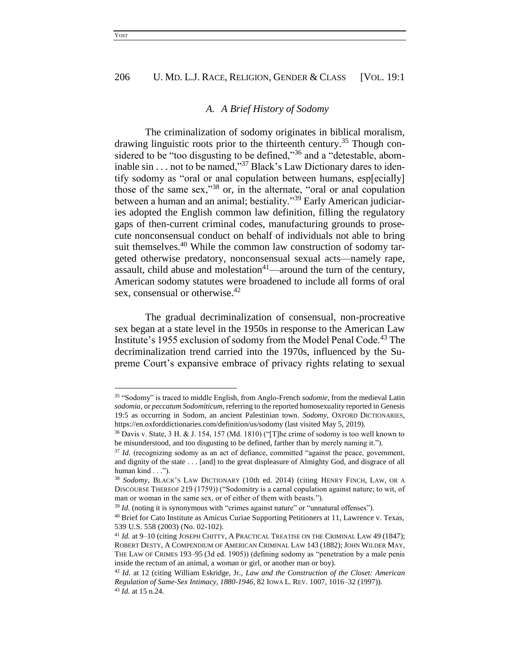#### *A. A Brief History of Sodomy*

The criminalization of sodomy originates in biblical moralism, drawing linguistic roots prior to the thirteenth century.<sup>35</sup> Though considered to be "too disgusting to be defined,"<sup>36</sup> and a "detestable, abominable sin . . . not to be named,"<sup>37</sup> Black's Law Dictionary dares to identify sodomy as "oral or anal copulation between humans, esp[ecially] those of the same sex,"<sup>38</sup> or, in the alternate, "oral or anal copulation between a human and an animal; bestiality."<sup>39</sup> Early American judiciaries adopted the English common law definition, filling the regulatory gaps of then-current criminal codes, manufacturing grounds to prosecute nonconsensual conduct on behalf of individuals not able to bring suit themselves.<sup>40</sup> While the common law construction of sodomy targeted otherwise predatory, nonconsensual sexual acts—namely rape, assault, child abuse and molestation<sup>41</sup>—around the turn of the century, American sodomy statutes were broadened to include all forms of oral sex, consensual or otherwise.<sup>42</sup>

The gradual decriminalization of consensual, non-procreative sex began at a state level in the 1950s in response to the American Law Institute's 1955 exclusion of sodomy from the Model Penal Code.<sup>43</sup> The decriminalization trend carried into the 1970s, influenced by the Supreme Court's expansive embrace of privacy rights relating to sexual

<sup>35</sup> "Sodomy" is traced to middle English, from Anglo-French *sodomie*, from the medieval Latin *sodomia*, or *peccatum Sodomiticum*, referring to the reported homosexuality reported in Genesis 19:5 as occurring in Sodom, an ancient Palestinian town. *Sodomy*, OXFORD DICTIONARIES, https://en.oxforddictionaries.com/definition/us/sodomy (last visited May 5, 2019).

<sup>36</sup> Davis v. State, 3 H. & J. 154, 157 (Md. 1810) ("[T]he crime of sodomy is too well known to be misunderstood, and too disgusting to be defined, farther than by merely naming it.").

<sup>&</sup>lt;sup>37</sup> *Id.* (recognizing sodomy as an act of defiance, committed "against the peace, government, and dignity of the state . . . [and] to the great displeasure of Almighty God, and disgrace of all human kind . . .").

<sup>38</sup> *Sodomy*, BLACK'S LAW DICTIONARY (10th ed. 2014) (citing HENRY FINCH, LAW, OR A DISCOURSE THEREOF 219 (1759)) ("Sodomitry is a carnal copulation against nature; to wit, of man or woman in the same sex, or of either of them with beasts.").

<sup>&</sup>lt;sup>39</sup> *Id.* (noting it is synonymous with "crimes against nature" or "unnatural offenses").

<sup>40</sup> Brief for Cato Institute as Amicus Curiae Supporting Petitioners at 11, Lawrence v. Texas, 539 U.S. 558 (2003) (No. 02-102).

<sup>41</sup> *Id.* at 9–10 (citing JOSEPH CHITTY, A PRACTICAL TREATISE ON THE CRIMINAL LAW 49 (1847); ROBERT DESTY, A COMPENDIUM OF AMERICAN CRIMINAL LAW 143 (1882); JOHN WILDER MAY, THE LAW OF CRIMES 193–95 (3d ed. 1905)) (defining sodomy as "penetration by a male penis inside the rectum of an animal, a woman or girl, or another man or boy).

<sup>42</sup> *Id.* at 12 (citing William Eskridge, Jr., *Law and the Construction of the Closet: American Regulation of Same-Sex Intimacy, 1880-1946*, 82 IOWA L. REV. 1007, 1016–32 (1997)). <sup>43</sup> *Id.* at 15 n.24.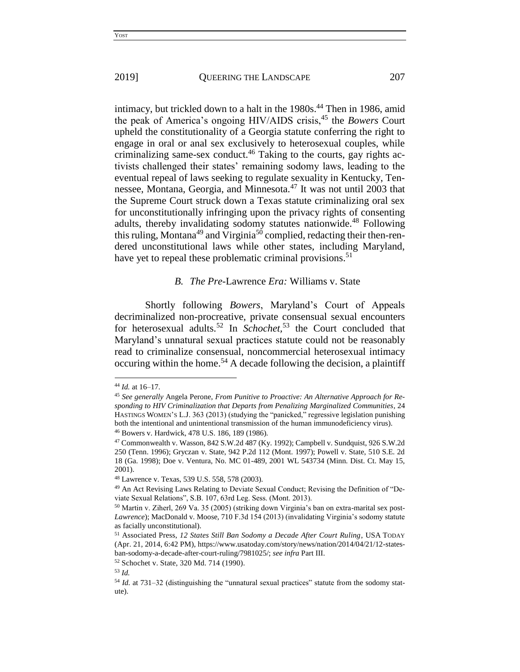intimacy, but trickled down to a halt in the 1980s.<sup>44</sup> Then in 1986, amid the peak of America's ongoing HIV/AIDS crisis,<sup>45</sup> the *Bowers* Court upheld the constitutionality of a Georgia statute conferring the right to engage in oral or anal sex exclusively to heterosexual couples, while criminalizing same-sex conduct.<sup>46</sup> Taking to the courts, gay rights activists challenged their states' remaining sodomy laws, leading to the eventual repeal of laws seeking to regulate sexuality in Kentucky, Tennessee, Montana, Georgia, and Minnesota.<sup>47</sup> It was not until 2003 that the Supreme Court struck down a Texas statute criminalizing oral sex for unconstitutionally infringing upon the privacy rights of consenting adults, thereby invalidating sodomy statutes nationwide.<sup>48</sup> Following this ruling, Montana<sup>49</sup> and Virginia<sup>50</sup> complied, redacting their then-rendered unconstitutional laws while other states, including Maryland, have yet to repeal these problematic criminal provisions.<sup>51</sup>

#### *B. The Pre-*Lawrence *Era:* Williams v. State

Shortly following *Bowers*, Maryland's Court of Appeals decriminalized non-procreative, private consensual sexual encounters for heterosexual adults.<sup>52</sup> In *Schochet,* <sup>53</sup> the Court concluded that Maryland's unnatural sexual practices statute could not be reasonably read to criminalize consensual, noncommercial heterosexual intimacy occuring within the home.<sup>54</sup> A decade following the decision, a plaintiff

<sup>44</sup> *Id.* at 16–17.

<sup>45</sup> *See generally* Angela Perone, *From Punitive to Proactive: An Alternative Approach for Responding to HIV Criminalization that Departs from Penalizing Marginalized Communities*, 24 HASTINGS WOMEN'S L.J. 363 (2013) (studying the "panicked," regressive legislation punishing both the intentional and unintentional transmission of the human immunodeficiency virus). <sup>46</sup> Bowers v. Hardwick, 478 U.S. 186, 189 (1986).

<sup>47</sup> Commonwealth v. Wasson, 842 S.W.2d 487 (Ky. 1992); Campbell v. Sundquist, 926 S.W.2d 250 (Tenn. 1996); Gryczan v. State, 942 P.2d 112 (Mont. 1997); Powell v. State, 510 S.E. 2d 18 (Ga. 1998); Doe v. Ventura, No. MC 01-489, 2001 WL 543734 (Minn. Dist. Ct. May 15, 2001).

<sup>48</sup> Lawrence v. Texas, 539 U.S. 558, 578 (2003).

<sup>49</sup> An Act Revising Laws Relating to Deviate Sexual Conduct; Revising the Definition of "Deviate Sexual Relations", S.B. 107, 63rd Leg. Sess. (Mont. 2013).

<sup>50</sup> Martin v. Ziherl, 269 Va. 35 (2005) (striking down Virginia's ban on extra-marital sex post-*Lawrence*); MacDonald v. Moose, 710 F.3d 154 (2013) (invalidating Virginia's sodomy statute as facially unconstitutional).

<sup>51</sup> Associated Press, *12 States Still Ban Sodomy a Decade After Court Ruling*, USA TODAY (Apr. 21, 2014, 6:42 PM), https://www.usatoday.com/story/news/nation/2014/04/21/12-statesban-sodomy-a-decade-after-court-ruling/7981025/; *see infra* Part III.

<sup>52</sup> Schochet v. State, 320 Md. 714 (1990).

<sup>53</sup> *Id.*

<sup>54</sup> *Id.* at 731–32 (distinguishing the "unnatural sexual practices" statute from the sodomy statute).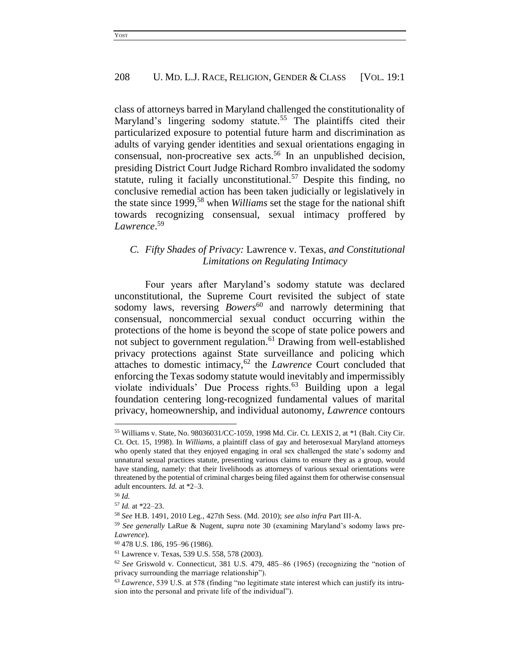class of attorneys barred in Maryland challenged the constitutionality of Maryland's lingering sodomy statute.<sup>55</sup> The plaintiffs cited their particularized exposure to potential future harm and discrimination as adults of varying gender identities and sexual orientations engaging in consensual, non-procreative sex acts.<sup>56</sup> In an unpublished decision, presiding District Court Judge Richard Rombro invalidated the sodomy statute, ruling it facially unconstitutional.<sup>57</sup> Despite this finding, no conclusive remedial action has been taken judicially or legislatively in the state since 1999,<sup>58</sup> when *Williams* set the stage for the national shift towards recognizing consensual, sexual intimacy proffered by *Lawrence*. 59

## *C. Fifty Shades of Privacy:* Lawrence v. Texas*, and Constitutional Limitations on Regulating Intimacy*

Four years after Maryland's sodomy statute was declared unconstitutional, the Supreme Court revisited the subject of state sodomy laws, reversing *Bowers*<sup>60</sup> and narrowly determining that consensual, noncommercial sexual conduct occurring within the protections of the home is beyond the scope of state police powers and not subject to government regulation.<sup>61</sup> Drawing from well-established privacy protections against State surveillance and policing which attaches to domestic intimacy,<sup>62</sup> the *Lawrence* Court concluded that enforcing the Texas sodomy statute would inevitably and impermissibly violate individuals' Due Process rights.<sup>63</sup> Building upon a legal foundation centering long-recognized fundamental values of marital privacy, homeownership, and individual autonomy, *Lawrence* contours

<sup>55</sup> Williams v. State, No. 98036031/CC-1059, 1998 Md. Cir. Ct. LEXIS 2, at \*1 (Balt. City Cir. Ct. Oct. 15, 1998). In *Williams*, a plaintiff class of gay and heterosexual Maryland attorneys who openly stated that they enjoyed engaging in oral sex challenged the state's sodomy and unnatural sexual practices statute, presenting various claims to ensure they as a group, would have standing, namely: that their livelihoods as attorneys of various sexual orientations were threatened by the potential of criminal charges being filed against them for otherwise consensual adult encounters. *Id.* at \*2–3.

<sup>56</sup> *Id.*

<sup>57</sup> *Id.* at \*22–23.

<sup>58</sup> *See* H.B. 1491, 2010 Leg., 427th Sess. (Md. 2010); *see also infra* Part III-A.

<sup>59</sup> *See generally* LaRue & Nugent, *supra* note 30 (examining Maryland's sodomy laws pre-*Lawrence*).

<sup>60</sup> 478 U.S. 186, 195–96 (1986).

<sup>61</sup> Lawrence v. Texas, 539 U.S. 558, 578 (2003).

<sup>62</sup> *See* Griswold v. Connecticut, 381 U.S. 479, 485–86 (1965) (recognizing the "notion of privacy surrounding the marriage relationship").

<sup>63</sup> *Lawrence*, 539 U.S. at 578 (finding "no legitimate state interest which can justify its intrusion into the personal and private life of the individual").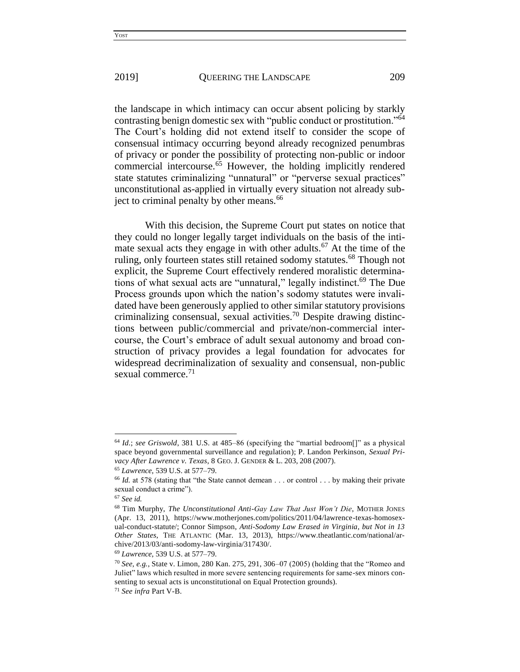the landscape in which intimacy can occur absent policing by starkly contrasting benign domestic sex with "public conduct or prostitution."<sup>64</sup> The Court's holding did not extend itself to consider the scope of consensual intimacy occurring beyond already recognized penumbras of privacy or ponder the possibility of protecting non-public or indoor commercial intercourse.<sup>65</sup> However, the holding implicitly rendered state statutes criminalizing "unnatural" or "perverse sexual practices" unconstitutional as-applied in virtually every situation not already subject to criminal penalty by other means.<sup>66</sup>

With this decision, the Supreme Court put states on notice that they could no longer legally target individuals on the basis of the intimate sexual acts they engage in with other adults.<sup>67</sup> At the time of the ruling, only fourteen states still retained sodomy statutes.<sup>68</sup> Though not explicit, the Supreme Court effectively rendered moralistic determinations of what sexual acts are "unnatural," legally indistinct.<sup>69</sup> The Due Process grounds upon which the nation's sodomy statutes were invalidated have been generously applied to other similar statutory provisions criminalizing consensual, sexual activities.<sup>70</sup> Despite drawing distinctions between public/commercial and private/non-commercial intercourse, the Court's embrace of adult sexual autonomy and broad construction of privacy provides a legal foundation for advocates for widespread decriminalization of sexuality and consensual, non-public sexual commerce. $71$ 

<sup>64</sup> *Id.*; *see Griswold*, 381 U.S. at 485–86 (specifying the "martial bedroom[]" as a physical space beyond governmental surveillance and regulation); P. Landon Perkinson, *Sexual Privacy After Lawrence v. Texas*, 8 GEO. J. GENDER & L. 203, 208 (2007).

<sup>65</sup> *Lawrence*, 539 U.S. at 577–79.

<sup>&</sup>lt;sup>66</sup> *Id.* at 578 (stating that "the State cannot demean . . . or control . . . by making their private sexual conduct a crime").

<sup>67</sup> *See id.* 

<sup>68</sup> Tim Murphy, *The Unconstitutional Anti-Gay Law That Just Won't Die*, MOTHER JONES (Apr. 13, 2011), https://www.motherjones.com/politics/2011/04/lawrence-texas-homosexual-conduct-statute/; Connor Simpson, *Anti-Sodomy Law Erased in Virginia, but Not in 13 Other States*, THE ATLANTIC (Mar. 13, 2013), https://www.theatlantic.com/national/archive/2013/03/anti-sodomy-law-virginia/317430/.

<sup>69</sup> *Lawrence*, 539 U.S. at 577–79.

<sup>70</sup> *See, e.g.*, State v. Limon, 280 Kan. 275, 291, 306–07 (2005) (holding that the "Romeo and Juliet" laws which resulted in more severe sentencing requirements for same-sex minors consenting to sexual acts is unconstitutional on Equal Protection grounds).

<sup>71</sup> *See infra* Part V-B.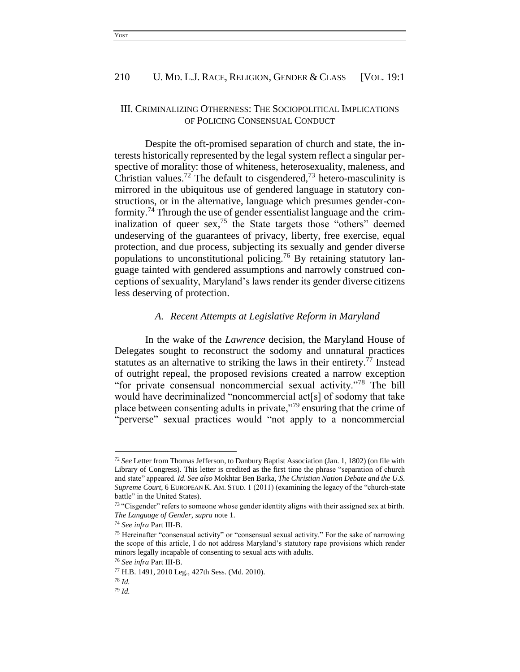#### III. CRIMINALIZING OTHERNESS: THE SOCIOPOLITICAL IMPLICATIONS OF POLICING CONSENSUAL CONDUCT

Despite the oft-promised separation of church and state, the interests historically represented by the legal system reflect a singular perspective of morality: those of whiteness, heterosexuality, maleness, and Christian values.<sup>72</sup> The default to cisgendered,<sup>73</sup> hetero-masculinity is mirrored in the ubiquitous use of gendered language in statutory constructions, or in the alternative, language which presumes gender-conformity.<sup>74</sup> Through the use of gender essentialist language and the criminalization of queer sex,<sup>75</sup> the State targets those "others" deemed undeserving of the guarantees of privacy, liberty, free exercise, equal protection, and due process, subjecting its sexually and gender diverse populations to unconstitutional policing.<sup>76</sup> By retaining statutory language tainted with gendered assumptions and narrowly construed conceptions of sexuality, Maryland's laws render its gender diverse citizens less deserving of protection.

#### *A. Recent Attempts at Legislative Reform in Maryland*

In the wake of the *Lawrence* decision, the Maryland House of Delegates sought to reconstruct the sodomy and unnatural practices statutes as an alternative to striking the laws in their entirety.<sup>77</sup> Instead of outright repeal, the proposed revisions created a narrow exception "for private consensual noncommercial sexual activity."<sup>78</sup> The bill would have decriminalized "noncommercial act[s] of sodomy that take place between consenting adults in private,"<sup>79</sup> ensuring that the crime of "perverse" sexual practices would "not apply to a noncommercial

<sup>72</sup> *See* Letter from Thomas Jefferson, to Danbury Baptist Association (Jan. 1, 1802) (on file with Library of Congress). This letter is credited as the first time the phrase "separation of church and state" appeared. *Id. See also* Mokhtar Ben Barka, *The Christian Nation Debate and the U.S. Supreme Court*, 6 EUROPEAN K. AM. STUD. 1 (2011) (examining the legacy of the "church-state battle" in the United States).

<sup>&</sup>lt;sup>73</sup> "Cisgender" refers to someone whose gender identity aligns with their assigned sex at birth. *The Language of Gender*, *supra* note 1.

<sup>74</sup> *See infra* Part III-B.

<sup>75</sup> Hereinafter "consensual activity" or "consensual sexual activity." For the sake of narrowing the scope of this article, I do not address Maryland's statutory rape provisions which render minors legally incapable of consenting to sexual acts with adults.

<sup>76</sup> *See infra* Part III-B.

<sup>77</sup> H.B. 1491, 2010 Leg., 427th Sess. (Md. 2010).

<sup>78</sup> *Id.*

<sup>79</sup> *Id.*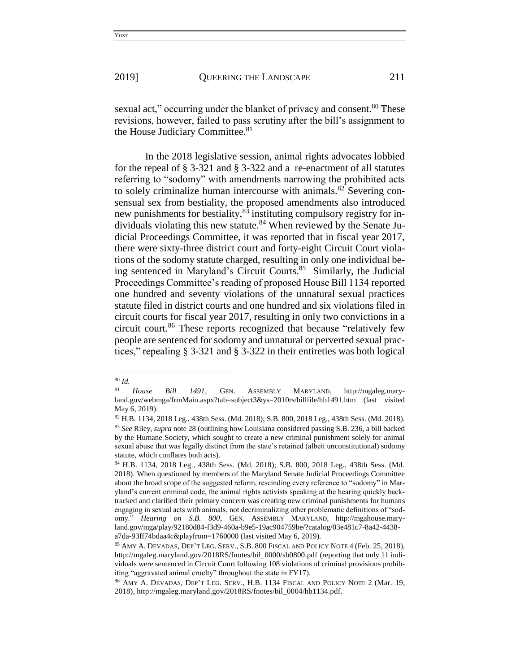the House Judiciary Committee.<sup>81</sup>

sexual act," occurring under the blanket of privacy and consent.<sup>80</sup> These revisions, however, failed to pass scrutiny after the bill's assignment to

In the 2018 legislative session, animal rights advocates lobbied for the repeal of § 3-321 and § 3-322 and a re-enactment of all statutes referring to "sodomy" with amendments narrowing the prohibited acts to solely criminalize human intercourse with animals.<sup>82</sup> Severing consensual sex from bestiality, the proposed amendments also introduced new punishments for bestiality,<sup>83</sup> instituting compulsory registry for individuals violating this new statute.<sup>84</sup> When reviewed by the Senate Judicial Proceedings Committee, it was reported that in fiscal year 2017, there were sixty-three district court and forty-eight Circuit Court violations of the sodomy statute charged, resulting in only one individual being sentenced in Maryland's Circuit Courts. 85 Similarly, the Judicial Proceedings Committee's reading of proposed House Bill 1134 reported one hundred and seventy violations of the unnatural sexual practices statute filed in district courts and one hundred and six violations filed in circuit courts for fiscal year 2017, resulting in only two convictions in a circuit court.<sup>86</sup> These reports recognized that because "relatively few people are sentenced for sodomy and unnatural or perverted sexual practices," repealing § 3-321 and § 3-322 in their entireties was both logical

<sup>80</sup> *Id.*

<sup>81</sup> *House Bill 1491*, GEN. ASSEMBLY MARYLAND, http://mgaleg.maryland.gov/webmga/frmMain.aspx?tab=subject3&ys=2010rs/billfile/hb1491.htm (last visited May 6, 2019).

<sup>82</sup> H.B. 1134, 2018 Leg., 438th Sess. (Md. 2018); S.B. 800, 2018 Leg., 438th Sess. (Md. 2018). <sup>83</sup> *See* Riley, *supra* note 28 (outlining how Louisiana considered passing S.B. 236, a bill backed by the Humane Society, which sought to create a new criminal punishment solely for animal sexual abuse that was legally distinct from the state's retained (albeit unconstitutional) sodomy statute, which conflates both acts).

<sup>84</sup> H.B. 1134, 2018 Leg., 438th Sess. (Md. 2018); S.B. 800, 2018 Leg., 438th Sess. (Md. 2018). When questioned by members of the Maryland Senate Judicial Proceedings Committee about the broad scope of the suggested reform, rescinding every reference to "sodomy" in Maryland's current criminal code, the animal rights activists speaking at the hearing quickly backtracked and clarified their primary concern was creating new criminal punishments for humans engaging in sexual acts with animals, not decriminalizing other problematic definitions of "sodomy." *Hearing on S.B. 800*, GEN. ASSEMBLY MARYLAND, http://mgahouse.maryland.gov/mga/play/92180d84-f3d9-460a-b9e5-19ac904759be/?catalog/03e481c7-8a42-4438 a7da-93ff74bdaa4c&playfrom=1760000 (last visited May 6, 2019).

<sup>85</sup> AMY A. DEVADAS, DEP'T LEG. SERV., S.B. 800 FISCAL AND POLICY NOTE 4 (Feb. 25, 2018), http://mgaleg.maryland.gov/2018RS/fnotes/bil\_0000/sb0800.pdf (reporting that only 11 individuals were sentenced in Circuit Court following 108 violations of criminal provisions prohibiting "aggravated animal cruelty" throughout the state in FY17).

<sup>86</sup> AMY A. DEVADAS, DEP'T LEG. SERV., H.B. 1134 FISCAL AND POLICY NOTE 2 (Mar. 19, 2018), http://mgaleg.maryland.gov/2018RS/fnotes/bil\_0004/hb1134.pdf.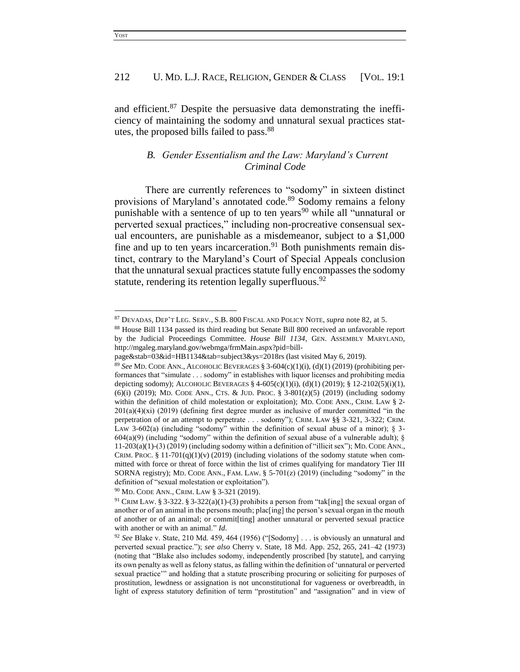and efficient.<sup>87</sup> Despite the persuasive data demonstrating the inefficiency of maintaining the sodomy and unnatural sexual practices statutes, the proposed bills failed to pass.<sup>88</sup>

## *B. Gender Essentialism and the Law: Maryland's Current Criminal Code*

There are currently references to "sodomy" in sixteen distinct provisions of Maryland's annotated code.<sup>89</sup> Sodomy remains a felony punishable with a sentence of up to ten years<sup>90</sup> while all "unnatural or perverted sexual practices," including non-procreative consensual sexual encounters, are punishable as a misdemeanor, subject to a \$1,000 fine and up to ten years incarceration.<sup>91</sup> Both punishments remain distinct, contrary to the Maryland's Court of Special Appeals conclusion that the unnatural sexual practices statute fully encompasses the sodomy statute, rendering its retention legally superfluous.<sup>92</sup>

<sup>90</sup> MD. CODE ANN., CRIM. LAW § 3-321 (2019).

<sup>87</sup> DEVADAS, DEP'T LEG. SERV., S.B. 800 FISCAL AND POLICY NOTE, *supra* note 82, at 5.

<sup>88</sup> House Bill 1134 passed its third reading but Senate Bill 800 received an unfavorable report by the Judicial Proceedings Committee. *House Bill 1134*, GEN. ASSEMBLY MARYLAND, http://mgaleg.maryland.gov/webmga/frmMain.aspx?pid=bill-

page&stab=03&id=HB1134&tab=subject3&ys=2018rs (last visited May 6, 2019).

<sup>89</sup> *See* MD. CODE ANN., ALCOHOLIC BEVERAGES § 3-604(c)(1)(i), (d)(1) (2019) (prohibiting performances that "simulate . . . sodomy" in establishes with liquor licenses and prohibiting media depicting sodomy); ALCOHOLIC BEVERAGES  $\S$  4-605(c)(1)(i), (d)(1) (2019);  $\S$  12-2102(5)(i)(1), (6)(i) (2019); MD. CODE ANN., CTS. & JUD. PROC. § 3-801(z)(5) (2019) (including sodomy within the definition of child molestation or exploitation); MD. CODE ANN., CRIM. LAW § 2-201(a)(4)(xi) (2019) (defining first degree murder as inclusive of murder committed "in the perpetration of or an attempt to perpetrate . . . sodomy"); CRIM. LAW §§ 3-321, 3-322; CRIM. LAW 3-602(a) (including "sodomy" within the definition of sexual abuse of a minor);  $\S$  3- $604(a)(9)$  (including "sodomy" within the definition of sexual abuse of a vulnerable adult); §  $11-203(a)(1)-(3)(2019)$  (including sodomy within a definition of "illicit sex"); MD. CODE ANN. CRIM. PROC. § 11-701(q)(1)(v) (2019) (including violations of the sodomy statute when committed with force or threat of force within the list of crimes qualifying for mandatory Tier III SORNA registry); MD. CODE ANN., FAM. LAW.  $\S$  5-701(z) (2019) (including "sodomy" in the definition of "sexual molestation or exploitation").

<sup>&</sup>lt;sup>91</sup> CRIM LAW. § 3-322. § 3-322(a)(1)-(3) prohibits a person from "tak[ing] the sexual organ of another or of an animal in the persons mouth; plac[ing] the person's sexual organ in the mouth of another or of an animal; or commit[ting] another unnatural or perverted sexual practice with another or with an animal." *Id.*

<sup>92</sup> *See* Blake v. State, 210 Md. 459, 464 (1956) ("[Sodomy] . . . is obviously an unnatural and perverted sexual practice."); *see also* Cherry v. State, 18 Md. App. 252, 265, 241–42 (1973) (noting that "Blake also includes sodomy, independently proscribed [by statute], and carrying its own penalty as well as felony status, as falling within the definition of 'unnatural or perverted sexual practice'" and holding that a statute proscribing procuring or soliciting for purposes of prostitution, lewdness or assignation is not unconstitutional for vagueness or overbreadth, in light of express statutory definition of term "prostitution" and "assignation" and in view of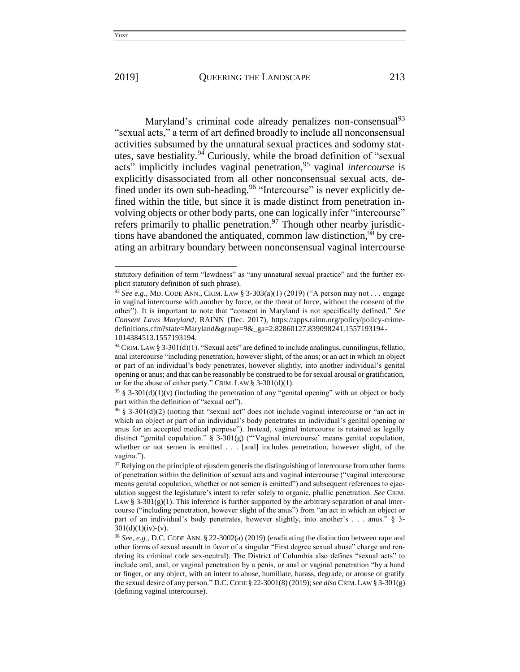Maryland's criminal code already penalizes non-consensual<sup>93</sup> "sexual acts," a term of art defined broadly to include all nonconsensual activities subsumed by the unnatural sexual practices and sodomy statutes, save bestiality.<sup>94</sup> Curiously, while the broad definition of "sexual" acts" implicitly includes vaginal penetration,<sup>95</sup> vaginal *intercourse* is explicitly disassociated from all other nonconsensual sexual acts, defined under its own sub-heading.<sup>96</sup> "Intercourse" is never explicitly defined within the title, but since it is made distinct from penetration involving objects or other body parts, one can logically infer "intercourse" refers primarily to phallic penetration.<sup>97</sup> Though other nearby jurisdictions have abandoned the antiquated, common law distinction, <sup>98</sup> by creating an arbitrary boundary between nonconsensual vaginal intercourse

statutory definition of term "lewdness" as "any unnatural sexual practice" and the further explicit statutory definition of such phrase).

<sup>93</sup> *See e.g.*, MD. CODE ANN., CRIM. LAW § 3-303(a)(1) (2019) ("A person may not . . . engage in vaginal intercourse with another by force, or the threat of force, without the consent of the other"). It is important to note that "consent in Maryland is not specifically defined." *See Consent Laws Maryland*, RAINN (Dec. 2017), https://apps.rainn.org/policy/policy-crimedefinitions.cfm?state=Maryland&group=9&\_ga=2.82860127.839098241.1557193194- 1014384513.1557193194.

 $94$  CRIM. LAW § 3-301(d)(1). "Sexual acts" are defined to include analingus, cunnilingus, fellatio, anal intercourse "including penetration, however slight, of the anus; or an act in which an object or part of an individual's body penetrates, however slightly, into another individual's genital opening or anus; and that can be reasonably be construed to be for sexual arousal or gratification, or for the abuse of either party." CRIM. LAW § 3-301(d)(1).

<sup>&</sup>lt;sup>95</sup> § 3-301(d)(1)(v) (including the penetration of any "genital opening" with an object or body part within the definition of "sexual act").

<sup>96</sup> § 3-301(d)(2) (noting that "sexual act" does not include vaginal intercourse or "an act in which an object or part of an individual's body penetrates an individual's genital opening or anus for an accepted medical purpose"). Instead, vaginal intercourse is retained as legally distinct "genital copulation." § 3-301(g) ("'Vaginal intercourse' means genital copulation, whether or not semen is emitted . . . [and] includes penetration, however slight, of the vagina.").

 $97$  Relying on the principle of ejusdem generis the distinguishing of intercourse from other forms of penetration within the definition of sexual acts and vaginal intercourse ("vaginal intercourse means genital copulation, whether or not semen is emitted") and subsequent references to ejaculation suggest the legislature's intent to refer solely to organic, phallic penetration. *See* CRIM. LAW § 3-301(g)(1). This inference is further supported by the arbitrary separation of anal intercourse ("including penetration, however slight of the anus") from "an act in which an object or part of an individual's body penetrates, however slightly, into another's . . . anus." § 3-  $301(d)(1)(iv)-(v)$ .

<sup>98</sup> *See, e.g.*, D.C. CODE ANN. § 22-3002(a) (2019) (eradicating the distinction between rape and other forms of sexual assault in favor of a singular "First degree sexual abuse" charge and rendering its criminal code sex-neutral). The District of Columbia also defines "sexual acts" to include oral, anal, or vaginal penetration by a penis, or anal or vaginal penetration "by a hand or finger, or any object, with an intent to abuse, humiliate, harass, degrade, or arouse or gratify the sexual desire of any person." D.C.CODE § 22-3001(8)(2019);*see also* CRIM. LAW § 3-301(g) (defining vaginal intercourse).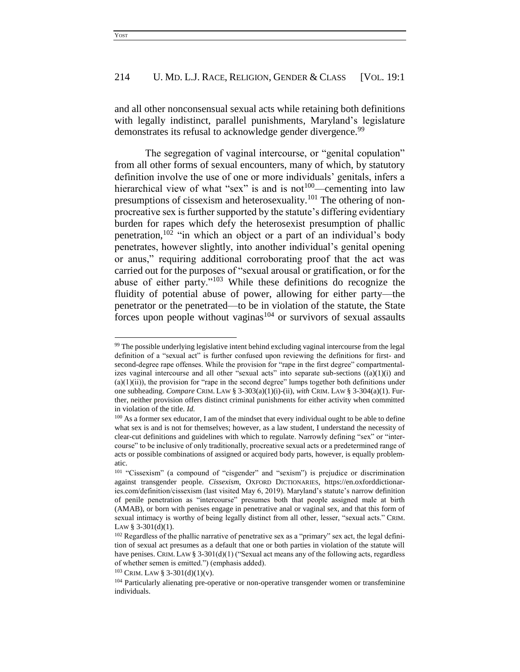and all other nonconsensual sexual acts while retaining both definitions with legally indistinct, parallel punishments, Maryland's legislature demonstrates its refusal to acknowledge gender divergence.<sup>99</sup>

The segregation of vaginal intercourse, or "genital copulation" from all other forms of sexual encounters, many of which, by statutory definition involve the use of one or more individuals' genitals, infers a hierarchical view of what "sex" is and is not<sup>100</sup>—cementing into law presumptions of cissexism and heterosexuality.<sup>101</sup> The othering of nonprocreative sex is further supported by the statute's differing evidentiary burden for rapes which defy the heterosexist presumption of phallic penetration,<sup>102</sup> "in which an object or a part of an individual's body penetrates, however slightly, into another individual's genital opening or anus," requiring additional corroborating proof that the act was carried out for the purposes of "sexual arousal or gratification, or for the abuse of either party."<sup>103</sup> While these definitions do recognize the fluidity of potential abuse of power, allowing for either party—the penetrator or the penetrated—to be in violation of the statute, the State forces upon people without vaginas<sup>104</sup> or survivors of sexual assaults

<sup>&</sup>lt;sup>99</sup> The possible underlying legislative intent behind excluding vaginal intercourse from the legal definition of a "sexual act" is further confused upon reviewing the definitions for first- and second-degree rape offenses. While the provision for "rape in the first degree" compartmentalizes vaginal intercourse and all other "sexual acts" into separate sub-sections  $((a)(1)(i)$  and  $(a)(1)(ii)$ , the provision for "rape in the second degree" lumps together both definitions under one subheading. *Compare* CRIM. LAW § 3-303(a)(1)(i)-(ii), *with* CRIM. LAW § 3-304(a)(1). Further, neither provision offers distinct criminal punishments for either activity when committed in violation of the title. *Id.*

<sup>&</sup>lt;sup>100</sup> As a former sex educator, I am of the mindset that every individual ought to be able to define what sex is and is not for themselves; however, as a law student, I understand the necessity of clear-cut definitions and guidelines with which to regulate. Narrowly defining "sex" or "intercourse" to be inclusive of only traditionally, procreative sexual acts or a predetermined range of acts or possible combinations of assigned or acquired body parts, however, is equally problematic.

<sup>101</sup> "Cissexism" (a compound of "cisgender" and "sexism") is prejudice or discrimination against transgender people. *Cissexism*, OXFORD DICTIONARIES, https://en.oxforddictionaries.com/definition/cissexism (last visited May 6, 2019). Maryland's statute's narrow definition of penile penetration as "intercourse" presumes both that people assigned male at birth (AMAB), or born with penises engage in penetrative anal or vaginal sex, and that this form of sexual intimacy is worthy of being legally distinct from all other, lesser, "sexual acts." CRIM. LAW §  $3-301(d)(1)$ .

<sup>&</sup>lt;sup>102</sup> Regardless of the phallic narrative of penetrative sex as a "primary" sex act, the legal definition of sexual act presumes as a default that one or both parties in violation of the statute will have penises. CRIM. LAW § 3-301(d)(1) ("Sexual act means any of the following acts, regardless of whether semen is emitted.") (emphasis added).

 $103$  CRIM. LAW § 3-301(d)(1)(v).

<sup>&</sup>lt;sup>104</sup> Particularly alienating pre-operative or non-operative transgender women or transfeminine individuals.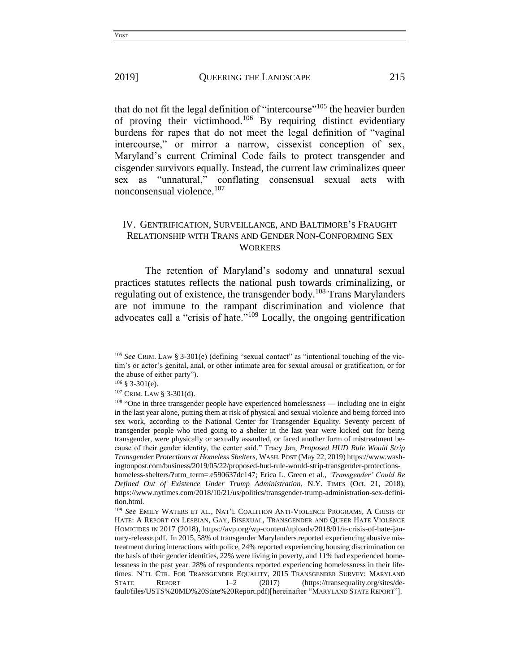that do not fit the legal definition of "intercourse"<sup>105</sup> the heavier burden of proving their victimhood.<sup>106</sup> By requiring distinct evidentiary burdens for rapes that do not meet the legal definition of "vaginal intercourse," or mirror a narrow, cissexist conception of sex, Maryland's current Criminal Code fails to protect transgender and cisgender survivors equally. Instead, the current law criminalizes queer sex as "unnatural," conflating consensual sexual acts with nonconsensual violence.<sup>107</sup>

## IV. GENTRIFICATION, SURVEILLANCE, AND BALTIMORE'S FRAUGHT RELATIONSHIP WITH TRANS AND GENDER NON-CONFORMING SEX **WORKERS**

The retention of Maryland's sodomy and unnatural sexual practices statutes reflects the national push towards criminalizing, or regulating out of existence, the transgender body.<sup>108</sup> Trans Marylanders are not immune to the rampant discrimination and violence that advocates call a "crisis of hate."<sup>109</sup> Locally, the ongoing gentrification

<sup>105</sup> *See* CRIM. LAW § 3-301(e) (defining "sexual contact" as "intentional touching of the victim's or actor's genital, anal, or other intimate area for sexual arousal or gratification, or for the abuse of either party").

 $106 \text{ }$ § 3-301(e).

<sup>107</sup> CRIM. LAW § 3-301(d).

<sup>&</sup>lt;sup>108</sup> "One in three transgender people have experienced homelessness — including one in eight in the last year alone, putting them at risk of physical and sexual violence and being forced into sex work, according to the National Center for Transgender Equality. Seventy percent of transgender people who tried going to a shelter in the last year were kicked out for being transgender, were physically or sexually assaulted, or faced another form of mistreatment because of their gender identity, the center said." Tracy Jan, *Proposed HUD Rule Would Strip Transgender Protections at Homeless Shelters,* WASH. POST (May 22, 2019) https://www.washingtonpost.com/business/2019/05/22/proposed-hud-rule-would-strip-transgender-protections-

homeless-shelters/?utm\_term=.e590637dc147; Erica L. Green et al., *'Transgender' Could Be Defined Out of Existence Under Trump Administration*, N.Y. TIMES (Oct. 21, 2018), https://www.nytimes.com/2018/10/21/us/politics/transgender-trump-administration-sex-definition.html.

<sup>109</sup> *See* EMILY WATERS ET AL., NAT'L COALITION ANTI-VIOLENCE PROGRAMS, A CRISIS OF HATE: A REPORT ON LESBIAN, GAY, BISEXUAL, TRANSGENDER AND QUEER HATE VIOLENCE HOMICIDES IN 2017 (2018), https://avp.org/wp-content/uploads/2018/01/a-crisis-of-hate-january-release.pdf. In 2015, 58% of transgender Marylanders reported experiencing abusive mistreatment during interactions with police, 24% reported experiencing housing discrimination on the basis of their gender identities, 22% were living in poverty, and 11% had experienced homelessness in the past year. 28% of respondents reported experiencing homelessness in their lifetimes. N'TL CTR. FOR TRANSGENDER EQUALITY, 2015 TRANSGENDER SURVEY: MARYLAND STATE REPORT 1–2 (2017) (https://transequality.org/sites/default/files/USTS%20MD%20State%20Report.pdf)[hereinafter "MARYLAND STATE REPORT"].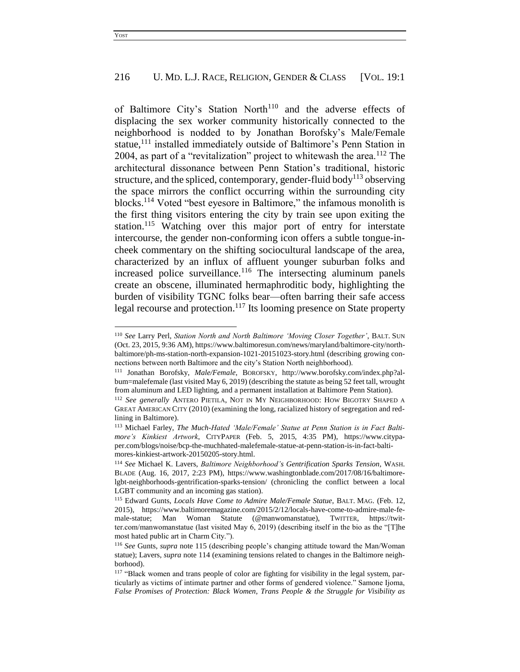of Baltimore City's Station North<sup>110</sup> and the adverse effects of displacing the sex worker community historically connected to the neighborhood is nodded to by Jonathan Borofsky's Male/Female statue,<sup>111</sup> installed immediately outside of Baltimore's Penn Station in 2004, as part of a "revitalization" project to whitewash the area. $112$  The architectural dissonance between Penn Station's traditional, historic structure, and the spliced, contemporary, gender-fluid body<sup>113</sup> observing the space mirrors the conflict occurring within the surrounding city blocks.<sup>114</sup> Voted "best eyesore in Baltimore," the infamous monolith is the first thing visitors entering the city by train see upon exiting the station.<sup>115</sup> Watching over this major port of entry for interstate intercourse, the gender non-conforming icon offers a subtle tongue-incheek commentary on the shifting sociocultural landscape of the area, characterized by an influx of affluent younger suburban folks and increased police surveillance.<sup>116</sup> The intersecting aluminum panels create an obscene, illuminated hermaphroditic body, highlighting the burden of visibility TGNC folks bear—often barring their safe access legal recourse and protection.<sup>117</sup> Its looming presence on State property

<sup>110</sup> *See* Larry Perl, *Station North and North Baltimore 'Moving Closer Together'*, BALT. SUN (Oct. 23, 2015, 9:36 AM), https://www.baltimoresun.com/news/maryland/baltimore-city/northbaltimore/ph-ms-station-north-expansion-1021-20151023-story.html (describing growing connections between north Baltimore and the city's Station North neighborhood).

<sup>111</sup> Jonathan Borofsky, *Male/Female*, BOROFSKY, http://www.borofsky.com/index.php?album=malefemale (last visited May 6, 2019) (describing the statute as being 52 feet tall, wrought from aluminum and LED lighting, and a permanent installation at Baltimore Penn Station).

<sup>112</sup> *See generally* ANTERO PIETILA, NOT IN MY NEIGHBORHOOD: HOW BIGOTRY SHAPED A GREAT AMERICAN CITY (2010) (examining the long, racialized history of segregation and redlining in Baltimore).

<sup>113</sup> Michael Farley, *The Much-Hated 'Male/Female' Statue at Penn Station is in Fact Baltimore's Kinkiest Artwork*, CITYPAPER (Feb. 5, 2015, 4:35 PM), https://www.citypaper.com/blogs/noise/bcp-the-muchhated-malefemale-statue-at-penn-station-is-in-fact-baltimores-kinkiest-artwork-20150205-story.html.

<sup>114</sup> *See* Michael K. Lavers, *Baltimore Neighborhood's Gentrification Sparks Tension*, WASH. BLADE (Aug. 16, 2017, 2:23 PM), https://www.washingtonblade.com/2017/08/16/baltimorelgbt-neighborhoods-gentrification-sparks-tension/ (chronicling the conflict between a local LGBT community and an incoming gas station).

<sup>115</sup> Edward Gunts, *Locals Have Come to Admire Male/Female Statue*, BALT. MAG. (Feb. 12, 2015), https://www.baltimoremagazine.com/2015/2/12/locals-have-come-to-admire-male-female-statue; Man Woman Statute (@manwomanstatue), TWITTER, https://twitter.com/manwomanstatue (last visited May 6, 2019) (describing itself in the bio as the "[T]he most hated public art in Charm City.").

<sup>116</sup> *See* Gunts, *supra* note 115 (describing people's changing attitude toward the Man/Woman statue); Lavers, *supra* note 114 (examining tensions related to changes in the Baltimore neighborhood).

<sup>&</sup>lt;sup>117</sup> "Black women and trans people of color are fighting for visibility in the legal system, particularly as victims of intimate partner and other forms of gendered violence." Samone Ijoma, *False Promises of Protection: Black Women, Trans People & the Struggle for Visibility as*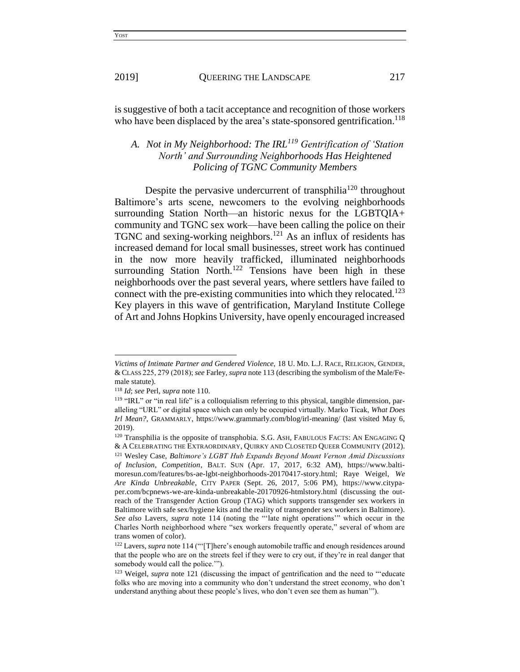is suggestive of both a tacit acceptance and recognition of those workers who have been displaced by the area's state-sponsored gentrification.<sup>118</sup>

## *A. Not in My Neighborhood: The IRL<sup>119</sup> Gentrification of 'Station North' and Surrounding Neighborhoods Has Heightened Policing of TGNC Community Members*

Despite the pervasive undercurrent of transphilia<sup>120</sup> throughout Baltimore's arts scene, newcomers to the evolving neighborhoods surrounding Station North—an historic nexus for the LGBTQIA+ community and TGNC sex work—have been calling the police on their TGNC and sexing-working neighbors. <sup>121</sup> As an influx of residents has increased demand for local small businesses, street work has continued in the now more heavily trafficked, illuminated neighborhoods surrounding Station North.<sup>122</sup> Tensions have been high in these neighborhoods over the past several years, where settlers have failed to connect with the pre-existing communities into which they relocated.<sup>123</sup> Key players in this wave of gentrification, Maryland Institute College of Art and Johns Hopkins University, have openly encouraged increased

*Victims of Intimate Partner and Gendered Violence,* 18 U. MD. L.J. RACE, RELIGION, GENDER, & CLASS 225, 279 (2018); *see* Farley, *supra* note 113 (describing the symbolism of the Male/Female statute).

<sup>118</sup> *Id*; *see* Perl, *supra* note 110.

<sup>&</sup>lt;sup>119</sup> "IRL" or "in real life" is a colloquialism referring to this physical, tangible dimension, paralleling "URL" or digital space which can only be occupied virtually. Marko Ticak, *What Does Irl Mean?*, GRAMMARLY, https://www.grammarly.com/blog/irl-meaning/ (last visited May 6, 2019).

<sup>&</sup>lt;sup>120</sup> Transphilia is the opposite of transphobia. S.G. ASH, FABULOUS FACTS: AN ENGAGING Q & A CELEBRATING THE EXTRAORDINARY, QUIRKY AND CLOSETED QUEER COMMUNITY (2012). <sup>121</sup> Wesley Case, *Baltimore's LGBT Hub Expands Beyond Mount Vernon Amid Discussions* 

*of Inclusion, Competition*, BALT. SUN (Apr. 17, 2017, 6:32 AM), https://www.baltimoresun.com/features/bs-ae-lgbt-neighborhoods-20170417-story.html; Raye Weigel, *We Are Kinda Unbreakable*, CITY PAPER (Sept. 26, 2017, 5:06 PM), https://www.citypaper.com/bcpnews-we-are-kinda-unbreakable-20170926-htmlstory.html (discussing the outreach of the Transgender Action Group (TAG) which supports transgender sex workers in Baltimore with safe sex/hygiene kits and the reality of transgender sex workers in Baltimore). *See also* Lavers, *supra* note 114 (noting the "'late night operations'" which occur in the Charles North neighborhood where "sex workers frequently operate," several of whom are trans women of color).

<sup>&</sup>lt;sup>122</sup> Lavers, *supra* note 114 ("'[T]here's enough automobile traffic and enough residences around that the people who are on the streets feel if they were to cry out, if they're in real danger that somebody would call the police.'").

<sup>123</sup> Weigel, *supra* note 121 (discussing the impact of gentrification and the need to "'educate folks who are moving into a community who don't understand the street economy, who don't understand anything about these people's lives, who don't even see them as human'").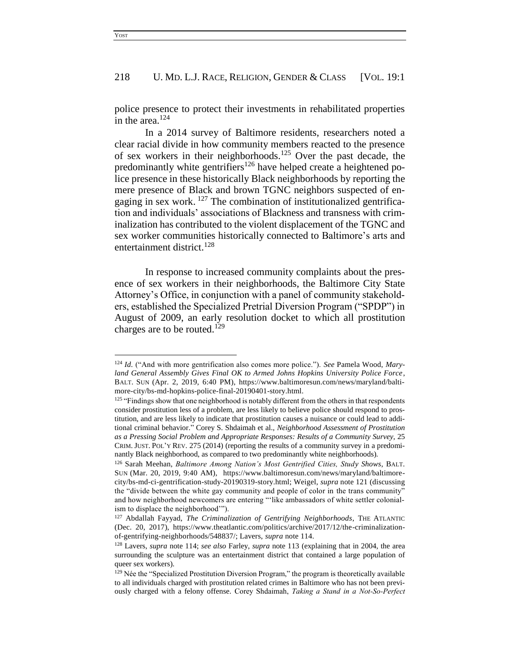police presence to protect their investments in rehabilitated properties in the area.<sup>124</sup>

In a 2014 survey of Baltimore residents, researchers noted a clear racial divide in how community members reacted to the presence of sex workers in their neighborhoods.<sup>125</sup> Over the past decade, the predominantly white gentrifiers<sup>126</sup> have helped create a heightened police presence in these historically Black neighborhoods by reporting the mere presence of Black and brown TGNC neighbors suspected of engaging in sex work.<sup>127</sup> The combination of institutionalized gentrification and individuals' associations of Blackness and transness with criminalization has contributed to the violent displacement of the TGNC and sex worker communities historically connected to Baltimore's arts and entertainment district. 128

In response to increased community complaints about the presence of sex workers in their neighborhoods, the Baltimore City State Attorney's Office, in conjunction with a panel of community stakeholders, established the Specialized Pretrial Diversion Program ("SPDP") in August of 2009, an early resolution docket to which all prostitution charges are to be routed.<sup>129</sup>

<sup>124</sup> *Id.* ("And with more gentrification also comes more police."). *See* Pamela Wood, *Maryland General Assembly Gives Final OK to Armed Johns Hopkins University Police Force*, BALT. SUN (Apr. 2, 2019, 6:40 PM), https://www.baltimoresun.com/news/maryland/baltimore-city/bs-md-hopkins-police-final-20190401-story.html.

<sup>&</sup>lt;sup>125</sup> "Findings show that one neighborhood is notably different from the others in that respondents consider prostitution less of a problem, are less likely to believe police should respond to prostitution, and are less likely to indicate that prostitution causes a nuisance or could lead to additional criminal behavior." Corey S. Shdaimah et al., *Neighborhood Assessment of Prostitution as a Pressing Social Problem and Appropriate Responses: Results of a Community Survey,* 25 CRIM. JUST. POL'Y REV. 275 (2014) (reporting the results of a community survey in a predominantly Black neighborhood, as compared to two predominantly white neighborhoods).

<sup>126</sup> Sarah Meehan, *Baltimore Among Nation's Most Gentrified Cities, Study Shows*, BALT. SUN (Mar. 20, 2019, 9:40 AM), https://www.baltimoresun.com/news/maryland/baltimorecity/bs-md-ci-gentrification-study-20190319-story.html; Weigel, *supra* note 121 (discussing the "divide between the white gay community and people of color in the trans community" and how neighborhood newcomers are entering "'like ambassadors of white settler colonialism to displace the neighborhood'").

<sup>127</sup> Abdallah Fayyad, *The Criminalization of Gentrifying Neighborhoods*, THE ATLANTIC (Dec. 20, 2017), https://www.theatlantic.com/politics/archive/2017/12/the-criminalizationof-gentrifying-neighborhoods/548837/; Lavers, *supra* note 114.

<sup>128</sup> Lavers, *supra* note 114; *see also* Farley, *supra* note 113 (explaining that in 2004, the area surrounding the sculpture was an entertainment district that contained a large population of queer sex workers).

 $129$  Née the "Specialized Prostitution Diversion Program," the program is theoretically available to all individuals charged with prostitution related crimes in Baltimore who has not been previously charged with a felony offense. Corey Shdaimah, *Taking a Stand in a Not-So-Perfect*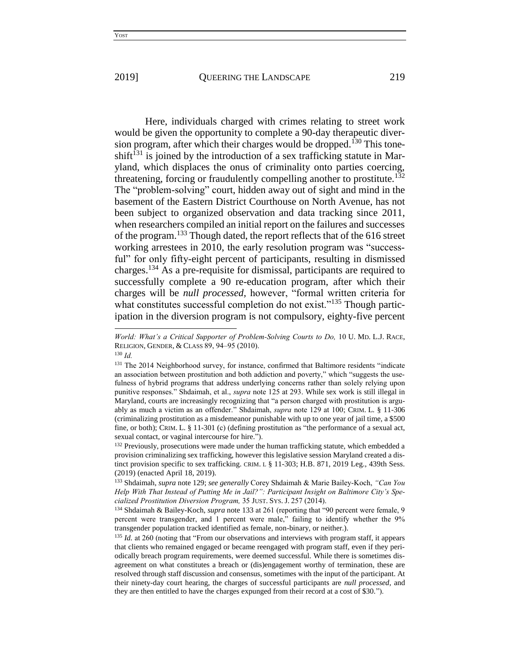Here, individuals charged with crimes relating to street work would be given the opportunity to complete a 90-day therapeutic diversion program, after which their charges would be dropped.<sup>130</sup> This toneshift<sup>131</sup> is joined by the introduction of a sex trafficking statute in Maryland, which displaces the onus of criminality onto parties coercing, threatening, forcing or fraudulently compelling another to prostitute.<sup>132</sup> The "problem-solving" court, hidden away out of sight and mind in the basement of the Eastern District Courthouse on North Avenue, has not been subject to organized observation and data tracking since 2011, when researchers compiled an initial report on the failures and successes of the program.<sup>133</sup> Though dated, the report reflects that of the 616 street working arrestees in 2010, the early resolution program was "successful" for only fifty-eight percent of participants, resulting in dismissed charges.<sup>134</sup> As a pre-requisite for dismissal, participants are required to successfully complete a 90 re-education program, after which their charges will be *null processed,* however, "formal written criteria for what constitutes successful completion do not exist."<sup>135</sup> Though participation in the diversion program is not compulsory, eighty-five percent

*World: What's a Critical Supporter of Problem-Solving Courts to Do,* 10 U. MD. L.J. RACE, RELIGION, GENDER, & CLASS 89, 94–95 (2010).

<sup>130</sup> *Id.* 

<sup>&</sup>lt;sup>131</sup> The 2014 Neighborhood survey, for instance, confirmed that Baltimore residents "indicate an association between prostitution and both addiction and poverty," which "suggests the usefulness of hybrid programs that address underlying concerns rather than solely relying upon punitive responses." Shdaimah, et al., *supra* note 125 at 293. While sex work is still illegal in Maryland, courts are increasingly recognizing that "a person charged with prostitution is arguably as much a victim as an offender." Shdaimah, *supra* note 129 at 100; CRIM. L. § 11-306 (criminalizing prostitution as a misdemeanor punishable with up to one year of jail time, a \$500 fine, or both); CRIM. L. § 11-301 (c) (defining prostitution as "the performance of a sexual act, sexual contact, or vaginal intercourse for hire.").

<sup>&</sup>lt;sup>132</sup> Previously, prosecutions were made under the human trafficking statute, which embedded a provision criminalizing sex trafficking, however this legislative session Maryland created a distinct provision specific to sex trafficking. CRIM. L § 11-303; H.B. 871, 2019 Leg., 439th Sess. (2019) (enacted April 18, 2019).

<sup>133</sup> Shdaimah, *supra* note 129; *see generally* Corey Shdaimah & Marie Bailey-Koch, *"Can You Help With That Instead of Putting Me in Jail?": Participant Insight on Baltimore City's Specialized Prostitution Diversion Program,* 35 JUST. SYS. J. 257 (2014).

<sup>134</sup> Shdaimah & Bailey-Koch, *supra* note 133 at 261 (reporting that "90 percent were female, 9 percent were transgender, and 1 percent were male," failing to identify whether the 9% transgender population tracked identified as female, non-binary, or neither.).

<sup>&</sup>lt;sup>135</sup> *Id.* at 260 (noting that "From our observations and interviews with program staff, it appears that clients who remained engaged or became reengaged with program staff, even if they periodically breach program requirements, were deemed successful. While there is sometimes disagreement on what constitutes a breach or (dis)engagement worthy of termination, these are resolved through staff discussion and consensus, sometimes with the input of the participant. At their ninety-day court hearing, the charges of successful participants are *null processed,* and they are then entitled to have the charges expunged from their record at a cost of \$30.").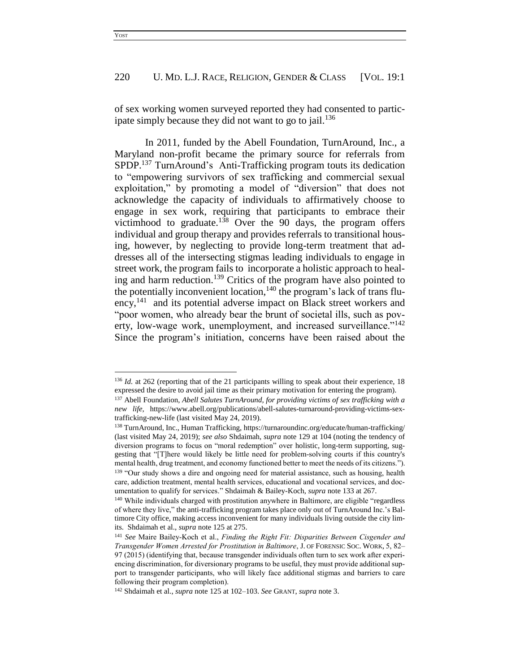of sex working women surveyed reported they had consented to participate simply because they did not want to go to jail.<sup>136</sup>

In 2011, funded by the Abell Foundation, TurnAround, Inc., a Maryland non-profit became the primary source for referrals from SPDP.<sup>137</sup> TurnAround's Anti-Trafficking program touts its dedication to "empowering survivors of sex trafficking and commercial sexual exploitation," by promoting a model of "diversion" that does not acknowledge the capacity of individuals to affirmatively choose to engage in sex work, requiring that participants to embrace their victimhood to graduate.<sup>138</sup> Over the 90 days, the program offers individual and group therapy and provides referrals to transitional housing, however, by neglecting to provide long-term treatment that addresses all of the intersecting stigmas leading individuals to engage in street work, the program fails to incorporate a holistic approach to healing and harm reduction.<sup>139</sup> Critics of the program have also pointed to the potentially inconvenient location,  $140$  the program's lack of trans fluency,<sup>141</sup> and its potential adverse impact on Black street workers and "poor women, who already bear the brunt of societal ills, such as poverty, low-wage work, unemployment, and increased surveillance."<sup>142</sup> Since the program's initiation, concerns have been raised about the

<sup>&</sup>lt;sup>136</sup> *Id.* at 262 (reporting that of the 21 participants willing to speak about their experience, 18 expressed the desire to avoid jail time as their primary motivation for entering the program).

<sup>137</sup> Abell Foundation, *Abell Salutes TurnAround, for providing victims of sex trafficking with a new life,* https://www.abell.org/publications/abell-salutes-turnaround-providing-victims-sextrafficking-new-life (last visited May 24, 2019).

<sup>138</sup> TurnAround, Inc., Human Trafficking, https://turnaroundinc.org/educate/human-trafficking/ (last visited May 24, 2019); *see also* Shdaimah, *supra* note 129 at 104 (noting the tendency of diversion programs to focus on "moral redemption" over holistic, long-term supporting, suggesting that "[T]here would likely be little need for problem-solving courts if this country's mental health, drug treatment, and economy functioned better to meet the needs of its citizens."). <sup>139</sup> "Our study shows a dire and ongoing need for material assistance, such as housing, health care, addiction treatment, mental health services, educational and vocational services, and documentation to qualify for services." Shdaimah & Bailey-Koch, *supra* note 133 at 267.

<sup>&</sup>lt;sup>140</sup> While individuals charged with prostitution anywhere in Baltimore, are eligible "regardless of where they live," the anti-trafficking program takes place only out of TurnAround Inc.'s Baltimore City office, making access inconvenient for many individuals living outside the city limits. Shdaimah et al., *supra* note 125 at 275.

<sup>141</sup> *See* Maire Bailey-Koch et al., *Finding the Right Fit: Disparities Between Cisgender and Transgender Women Arrested for Prostitution in Baltimore*, J. OF FORENSIC SOC. WORK, 5, 82– 97 (2015) (identifying that, because transgender individuals often turn to sex work after experiencing discrimination, for diversionary programs to be useful, they must provide additional support to transgender participants, who will likely face additional stigmas and barriers to care following their program completion).

<sup>142</sup> Shdaimah et al., *supra* note 125 at 102–103. *See* GRANT, *supra* note 3.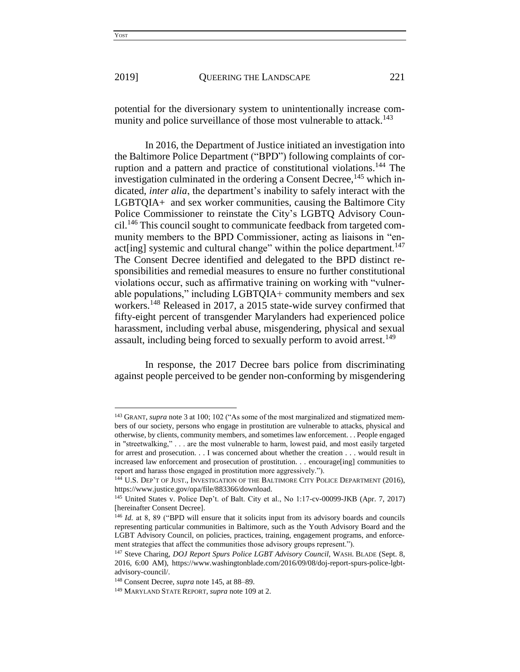$\overline{a}$ 

#### 2019] QUEERING THE LANDSCAPE 221

potential for the diversionary system to unintentionally increase community and police surveillance of those most vulnerable to attack.<sup>143</sup>

In 2016, the Department of Justice initiated an investigation into the Baltimore Police Department ("BPD") following complaints of corruption and a pattern and practice of constitutional violations.<sup>144</sup> The investigation culminated in the ordering a Consent Decree,  $145$  which indicated, *inter alia*, the department's inability to safely interact with the LGBTQIA+ and sex worker communities, causing the Baltimore City Police Commissioner to reinstate the City's LGBTQ Advisory Council.<sup>146</sup> This council sought to communicate feedback from targeted community members to the BPD Commissioner, acting as liaisons in "enact [ing] systemic and cultural change" within the police department.<sup>147</sup> The Consent Decree identified and delegated to the BPD distinct responsibilities and remedial measures to ensure no further constitutional violations occur, such as affirmative training on working with "vulnerable populations," including LGBTQIA+ community members and sex workers.<sup>148</sup> Released in 2017, a 2015 state-wide survey confirmed that fifty-eight percent of transgender Marylanders had experienced police harassment, including verbal abuse, misgendering, physical and sexual assault, including being forced to sexually perform to avoid arrest.<sup>149</sup>

In response, the 2017 Decree bars police from discriminating against people perceived to be gender non-conforming by misgendering

<sup>&</sup>lt;sup>143</sup> GRANT. *supra* note 3 at 100: 102 ("As some of the most marginalized and stigmatized members of our society, persons who engage in prostitution are vulnerable to attacks, physical and otherwise, by clients, community members, and sometimes law enforcement. . . People engaged in "streetwalking," . . . are the most vulnerable to harm, lowest paid, and most easily targeted for arrest and prosecution. . . I was concerned about whether the creation . . . would result in increased law enforcement and prosecution of prostitution. . . encourage[ing] communities to report and harass those engaged in prostitution more aggressively.").

<sup>&</sup>lt;sup>144</sup> U.S. DEP'T OF JUST., INVESTIGATION OF THE BALTIMORE CITY POLICE DEPARTMENT (2016), https://www.justice.gov/opa/file/883366/download.

<sup>145</sup> United States v. Police Dep't. of Balt. City et al., No 1:17-cv-00099-JKB (Apr. 7, 2017) [hereinafter Consent Decree].

<sup>146</sup> *Id.* at 8, 89 ("BPD will ensure that it solicits input from its advisory boards and councils representing particular communities in Baltimore, such as the Youth Advisory Board and the LGBT Advisory Council, on policies, practices, training, engagement programs, and enforcement strategies that affect the communities those advisory groups represent.").

<sup>&</sup>lt;sup>147</sup> Steve Charing, *DOJ Report Spurs Police LGBT Advisory Council*, WASH. BLADE (Sept. 8, 2016, 6:00 AM), https://www.washingtonblade.com/2016/09/08/doj-report-spurs-police-lgbtadvisory-council/.

<sup>148</sup> Consent Decree, *supra* note 145, at 88–89.

<sup>149</sup> MARYLAND STATE REPORT, *supra* note 109 at 2.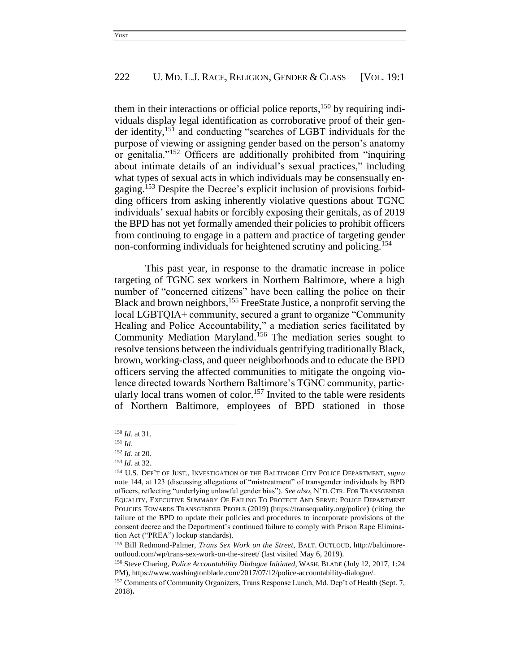them in their interactions or official police reports,<sup>150</sup> by requiring individuals display legal identification as corroborative proof of their gender identity,<sup>151</sup> and conducting "searches of LGBT individuals for the purpose of viewing or assigning gender based on the person's anatomy or genitalia."<sup>152</sup> Officers are additionally prohibited from "inquiring about intimate details of an individual's sexual practices," including what types of sexual acts in which individuals may be consensually engaging.<sup>153</sup> Despite the Decree's explicit inclusion of provisions forbidding officers from asking inherently violative questions about TGNC individuals' sexual habits or forcibly exposing their genitals, as of 2019 the BPD has not yet formally amended their policies to prohibit officers from continuing to engage in a pattern and practice of targeting gender non-conforming individuals for heightened scrutiny and policing.<sup>154</sup>

This past year, in response to the dramatic increase in police targeting of TGNC sex workers in Northern Baltimore, where a high number of "concerned citizens" have been calling the police on their Black and brown neighbors,<sup>155</sup> FreeState Justice, a nonprofit serving the local LGBTQIA+ community, secured a grant to organize "Community Healing and Police Accountability," a mediation series facilitated by Community Mediation Maryland.<sup>156</sup> The mediation series sought to resolve tensions between the individuals gentrifying traditionally Black, brown, working-class, and queer neighborhoods and to educate the BPD officers serving the affected communities to mitigate the ongoing violence directed towards Northern Baltimore's TGNC community, particularly local trans women of color.<sup>157</sup> Invited to the table were residents of Northern Baltimore, employees of BPD stationed in those

<sup>150</sup> *Id.* at 31.

<sup>151</sup> *Id.*

<sup>152</sup> *Id.* at 20.

<sup>153</sup> *Id.* at 32.

<sup>154</sup> U.S. DEP'T OF JUST., INVESTIGATION OF THE BALTIMORE CITY POLICE DEPARTMENT, *supra*  note 144, at 123 (discussing allegations of "mistreatment" of transgender individuals by BPD officers, reflecting "underlying unlawful gender bias"). *See also*, N'TL CTR. FOR TRANSGENDER EQUALITY, EXECUTIVE SUMMARY OF FAILING TO PROTECT AND SERVE: POLICE DEPARTMENT POLICIES TOWARDS TRANSGENDER PEOPLE (2019) (https://transequality.org/police) (citing the failure of the BPD to update their policies and procedures to incorporate provisions of the consent decree and the Department's continued failure to comply with Prison Rape Elimination Act ("PREA") lockup standards).

<sup>155</sup> Bill Redmond-Palmer, *Trans Sex Work on the Street*, BALT. OUTLOUD, http://baltimoreoutloud.com/wp/trans-sex-work-on-the-street/ (last visited May 6, 2019).

<sup>156</sup> Steve Charing, *Police Accountability Dialogue Initiated*, WASH. BLADE (July 12, 2017, 1:24 PM), https://www.washingtonblade.com/2017/07/12/police-accountability-dialogue/.

<sup>157</sup> Comments of Community Organizers, Trans Response Lunch, Md. Dep't of Health (Sept. 7, 2018)**.**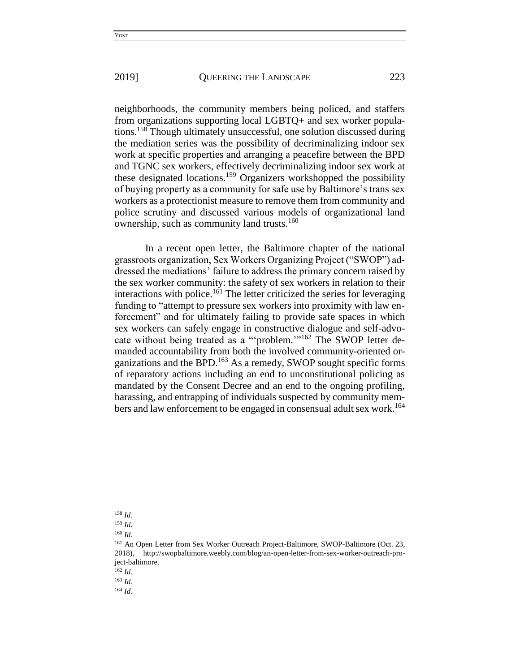neighborhoods, the community members being policed, and staffers from organizations supporting local LGBTQ+ and sex worker populations.<sup>158</sup> Though ultimately unsuccessful, one solution discussed during the mediation series was the possibility of decriminalizing indoor sex work at specific properties and arranging a peacefire between the BPD and TGNC sex workers, effectively decriminalizing indoor sex work at these designated locations.<sup>159</sup> Organizers workshopped the possibility of buying property as a community for safe use by Baltimore's trans sex workers as a protectionist measure to remove them from community and police scrutiny and discussed various models of organizational land ownership, such as community land trusts.<sup>160</sup>

In a recent open letter, the Baltimore chapter of the national grassroots organization, Sex Workers Organizing Project ("SWOP") addressed the mediations' failure to address the primary concern raised by the sex worker community: the safety of sex workers in relation to their interactions with police.<sup>161</sup> The letter criticized the series for leveraging funding to "attempt to pressure sex workers into proximity with law enforcement" and for ultimately failing to provide safe spaces in which sex workers can safely engage in constructive dialogue and self-advocate without being treated as a "problem."<sup>162</sup> The SWOP letter demanded accountability from both the involved community-oriented organizations and the BPD.<sup>163</sup> As a remedy, SWOP sought specific forms of reparatory actions including an end to unconstitutional policing as mandated by the Consent Decree and an end to the ongoing profiling, harassing, and entrapping of individuals suspected by community members and law enforcement to be engaged in consensual adult sex work.<sup>164</sup>

<sup>158</sup> *Id.*

<sup>159</sup> *Id.*

<sup>160</sup> *Id.*

<sup>&</sup>lt;sup>161</sup> An Open Letter from Sex Worker Outreach Project-Baltimore, SWOP-Baltimore (Oct. 23, 2018), http://swopbaltimore.weebly.com/blog/an-open-letter-from-sex-worker-outreach-project-baltimore.

<sup>162</sup> *Id.*

<sup>163</sup> *Id.* 

<sup>164</sup> *Id.*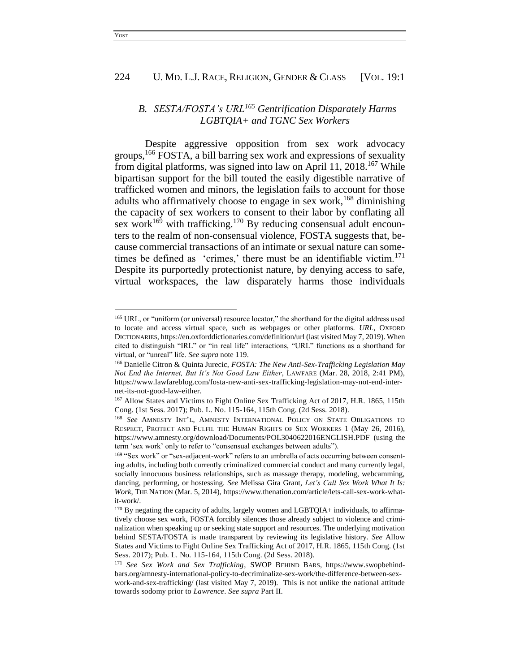## *B. SESTA/FOSTA's URL<sup>165</sup> Gentrification Disparately Harms LGBTQIA+ and TGNC Sex Workers*

Despite aggressive opposition from sex work advocacy groups,<sup>166</sup> FOSTA, a bill barring sex work and expressions of sexuality from digital platforms, was signed into law on April 11, 2018.<sup>167</sup> While bipartisan support for the bill touted the easily digestible narrative of trafficked women and minors, the legislation fails to account for those adults who affirmatively choose to engage in sex work,<sup>168</sup> diminishing the capacity of sex workers to consent to their labor by conflating all sex work<sup>169</sup> with trafficking.<sup>170</sup> By reducing consensual adult encounters to the realm of non-consensual violence, FOSTA suggests that, because commercial transactions of an intimate or sexual nature can sometimes be defined as 'crimes,' there must be an identifiable victim. $171$ Despite its purportedly protectionist nature, by denying access to safe, virtual workspaces, the law disparately harms those individuals

<sup>165</sup> URL, or "uniform (or universal) resource locator," the shorthand for the digital address used to locate and access virtual space, such as webpages or other platforms. *URL*, OXFORD DICTIONARIES, https://en.oxforddictionaries.com/definition/url (last visited May 7, 2019). When cited to distinguish "IRL" or "in real life" interactions, "URL" functions as a shorthand for virtual, or "unreal" life. *See supra* note 119.

<sup>166</sup> Danielle Citron & Quinta Jurecic, *FOSTA: The New Anti-Sex-Trafficking Legislation May Not End the Internet, But It's Not Good Law Either*, LAWFARE (Mar. 28, 2018, 2:41 PM), https://www.lawfareblog.com/fosta-new-anti-sex-trafficking-legislation-may-not-end-internet-its-not-good-law-either.

<sup>167</sup> Allow States and Victims to Fight Online Sex Trafficking Act of 2017, H.R. 1865, 115th Cong. (1st Sess. 2017); Pub. L. No. 115-164, 115th Cong. (2d Sess. 2018).

<sup>168</sup> *See* AMNESTY INT'L, AMNESTY INTERNATIONAL POLICY ON STATE OBLIGATIONS TO RESPECT, PROTECT AND FULFIL THE HUMAN RIGHTS OF SEX WORKERS 1 (May 26, 2016), https://www.amnesty.org/download/Documents/POL3040622016ENGLISH.PDF (using the term 'sex work' only to refer to "consensual exchanges between adults").

<sup>&</sup>lt;sup>169</sup> "Sex work" or "sex-adjacent-work" refers to an umbrella of acts occurring between consenting adults, including both currently criminalized commercial conduct and many currently legal, socially innocuous business relationships, such as massage therapy, modeling, webcamming, dancing, performing, or hostessing. *See* Melissa Gira Grant, *Let's Call Sex Work What It Is: Work*, THE NATION (Mar. 5, 2014), https://www.thenation.com/article/lets-call-sex-work-whatit-work/.

<sup>&</sup>lt;sup>170</sup> By negating the capacity of adults, largely women and LGBTQIA+ individuals, to affirmatively choose sex work, FOSTA forcibly silences those already subject to violence and criminalization when speaking up or seeking state support and resources. The underlying motivation behind SESTA/FOSTA is made transparent by reviewing its legislative history. *See* Allow States and Victims to Fight Online Sex Trafficking Act of 2017, H.R. 1865, 115th Cong. (1st Sess. 2017); Pub. L. No. 115-164, 115th Cong. (2d Sess. 2018).

<sup>171</sup> *See Sex Work and Sex Trafficking*, SWOP BEHIND BARS, https://www.swopbehindbars.org/amnesty-international-policy-to-decriminalize-sex-work/the-difference-between-sexwork-and-sex-trafficking/ (last visited May 7, 2019). This is not unlike the national attitude towards sodomy prior to *Lawrence*. *See supra* Part II.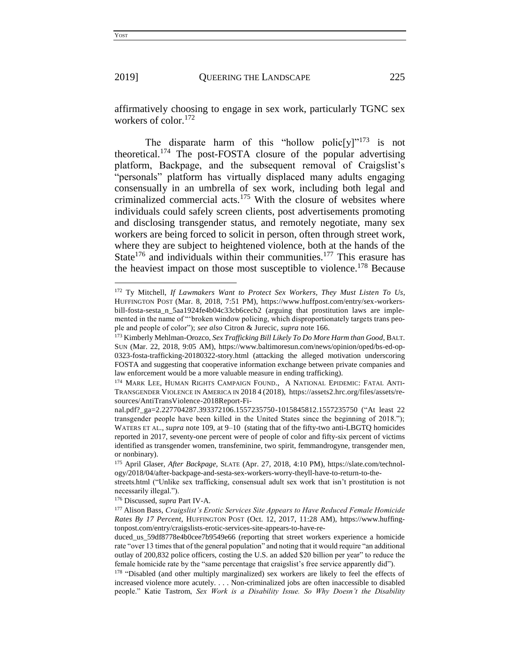l

affirmatively choosing to engage in sex work, particularly TGNC sex workers of color.<sup>172</sup>

The disparate harm of this "hollow polic $[v]$ "<sup>173</sup> is not theoretical.<sup>174</sup> The post-FOSTA closure of the popular advertising platform, Backpage, and the subsequent removal of Craigslist's "personals" platform has virtually displaced many adults engaging consensually in an umbrella of sex work, including both legal and criminalized commercial acts.<sup>175</sup> With the closure of websites where individuals could safely screen clients, post advertisements promoting and disclosing transgender status, and remotely negotiate, many sex workers are being forced to solicit in person, often through street work, where they are subject to heightened violence, both at the hands of the State<sup>176</sup> and individuals within their communities.<sup>177</sup> This erasure has the heaviest impact on those most susceptible to violence.<sup>178</sup> Because

<sup>172</sup> Ty Mitchell, *If Lawmakers Want to Protect Sex Workers, They Must Listen To Us*, HUFFINGTON POST (Mar. 8, 2018, 7:51 PM), https://www.huffpost.com/entry/sex-workersbill-fosta-sesta\_n\_5aa1924fe4b04c33cb6cecb2 (arguing that prostitution laws are implemented in the name of "'broken window policing, which disproportionately targets trans people and people of color"); *see also* Citron & Jurecic, *supra* note 166.

<sup>173</sup> Kimberly Mehlman-Orozco, *Sex Trafficking Bill Likely To Do More Harm than Good*, BALT. SUN (Mar. 22, 2018, 9:05 AM), https://www.baltimoresun.com/news/opinion/oped/bs-ed-op-0323-fosta-trafficking-20180322-story.html (attacking the alleged motivation underscoring FOSTA and suggesting that cooperative information exchange between private companies and law enforcement would be a more valuable measure in ending trafficking).

<sup>174</sup> MARK LEE, HUMAN RIGHTS CAMPAIGN FOUND., A NATIONAL EPIDEMIC: FATAL ANTI-TRANSGENDER VIOLENCE IN AMERICA IN 2018 4 (2018), https://assets2.hrc.org/files/assets/resources/AntiTransViolence-2018Report-Fi-

nal.pdf?\_ga=2.227704287.393372106.1557235750-1015845812.1557235750 ("At least 22 transgender people have been killed in the United States since the beginning of 2018."); WATERS ET AL., *supra* note 109, at 9–10 (stating that of the fifty-two anti-LBGTQ homicides reported in 2017, seventy-one percent were of people of color and fifty-six percent of victims identified as transgender women, transfeminine, two spirit, femmandrogyne, transgender men, or nonbinary).

<sup>175</sup> April Glaser, *After Backpage,* SLATE (Apr. 27, 2018, 4:10 PM), https://slate.com/technology/2018/04/after-backpage-and-sesta-sex-workers-worry-theyll-have-to-return-to-the-

streets.html ("Unlike sex trafficking, consensual adult sex work that isn't prostitution is not necessarily illegal.").

<sup>176</sup> Discussed, *supra* Part IV-A.

<sup>177</sup> Alison Bass, *Craigslist's Erotic Services Site Appears to Have Reduced Female Homicide Rates By 17 Percent*, HUFFINGTON POST (Oct. 12, 2017, 11:28 AM), https://www.huffingtonpost.com/entry/craigslists-erotic-services-site-appears-to-have-re-

duced\_us\_59df8778e4b0cee7b9549e66 (reporting that street workers experience a homicide rate "over 13 times that of the general population" and noting that it would require "an additional outlay of 200,832 police officers, costing the U.S. an added \$20 billion per year" to reduce the female homicide rate by the "same percentage that craigslist's free service apparently did").

<sup>&</sup>lt;sup>178</sup> "Disabled (and other multiply marginalized) sex workers are likely to feel the effects of increased violence more acutely. . . . Non-criminalized jobs are often inaccessible to disabled people." Katie Tastrom, *Sex Work is a Disability Issue. So Why Doesn't the Disability*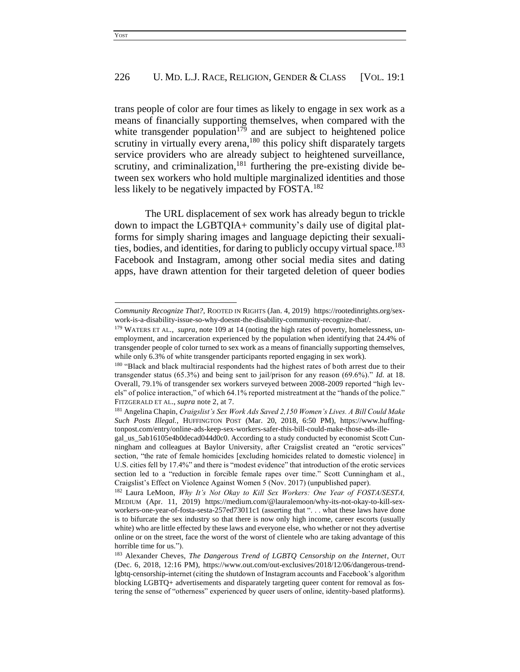trans people of color are four times as likely to engage in sex work as a means of financially supporting themselves, when compared with the white transgender population<sup>179</sup> and are subject to heightened police scrutiny in virtually every arena,<sup>180</sup> this policy shift disparately targets service providers who are already subject to heightened surveillance, scrutiny, and criminalization,<sup>181</sup> furthering the pre-existing divide between sex workers who hold multiple marginalized identities and those less likely to be negatively impacted by FOSTA.<sup>182</sup>

The URL displacement of sex work has already begun to trickle down to impact the LGBTQIA+ community's daily use of digital platforms for simply sharing images and language depicting their sexualities, bodies, and identities, for daring to publicly occupy virtual space. 183 Facebook and Instagram, among other social media sites and dating apps, have drawn attention for their targeted deletion of queer bodies

 $\overline{\phantom{a}}$ 

*Community Recognize That?,* ROOTED IN RIGHTS (Jan. 4, 2019) https://rootedinrights.org/sexwork-is-a-disability-issue-so-why-doesnt-the-disability-community-recognize-that/.

<sup>&</sup>lt;sup>179</sup> WATERS ET AL., *supra*, note 109 at 14 (noting the high rates of poverty, homelessness, unemployment, and incarceration experienced by the population when identifying that 24.4% of transgender people of color turned to sex work as a means of financially supporting themselves, while only 6.3% of white transgender participants reported engaging in sex work).

<sup>&</sup>lt;sup>180</sup> "Black and black multiracial respondents had the highest rates of both arrest due to their transgender status (65.3%) and being sent to jail/prison for any reason (69.6%)." *Id.* at 18. Overall, 79.1% of transgender sex workers surveyed between 2008-2009 reported "high levels" of police interaction," of which 64.1% reported mistreatment at the "hands of the police." FITZGERALD ET AL., *supra* note 2, at 7.

<sup>181</sup> Angelina Chapin, *Craigslist's Sex Work Ads Saved 2,150 Women's Lives. A Bill Could Make Such Posts Illegal.*, HUFFINGTON POST (Mar. 20, 2018, 6:50 PM), https://www.huffingtonpost.com/entry/online-ads-keep-sex-workers-safer-this-bill-could-make-those-ads-ille-

gal\_us\_5ab16105e4b0decad044d0c0. According to a study conducted by economist Scott Cunningham and colleagues at Baylor University, after Craigslist created an "erotic services" section, "the rate of female homicides [excluding homicides related to domestic violence] in U.S. cities fell by 17.4%" and there is "modest evidence" that introduction of the erotic services section led to a "reduction in forcible female rapes over time." Scott Cunningham et al., Craigslist's Effect on Violence Against Women 5 (Nov. 2017) (unpublished paper).

<sup>182</sup> Laura LeMoon, *Why It's Not Okay to Kill Sex Workers: One Year of FOSTA/SESTA,* MEDIUM (Apr. 11, 2019) https://medium.com/@lauralemoon/why-its-not-okay-to-kill-sexworkers-one-year-of-fosta-sesta-257ed73011c1 (asserting that "... what these laws have done is to bifurcate the sex industry so that there is now only high income, career escorts (usually white) who are little effected by these laws and everyone else, who whether or not they advertise online or on the street, face the worst of the worst of clientele who are taking advantage of this horrible time for us.").

<sup>183</sup> Alexander Cheves, *The Dangerous Trend of LGBTQ Censorship on the Internet*, OUT (Dec. 6, 2018, 12:16 PM), https://www.out.com/out-exclusives/2018/12/06/dangerous-trendlgbtq-censorship-internet (citing the shutdown of Instagram accounts and Facebook's algorithm blocking LGBTQ+ advertisements and disparately targeting queer content for removal as fostering the sense of "otherness" experienced by queer users of online, identity-based platforms).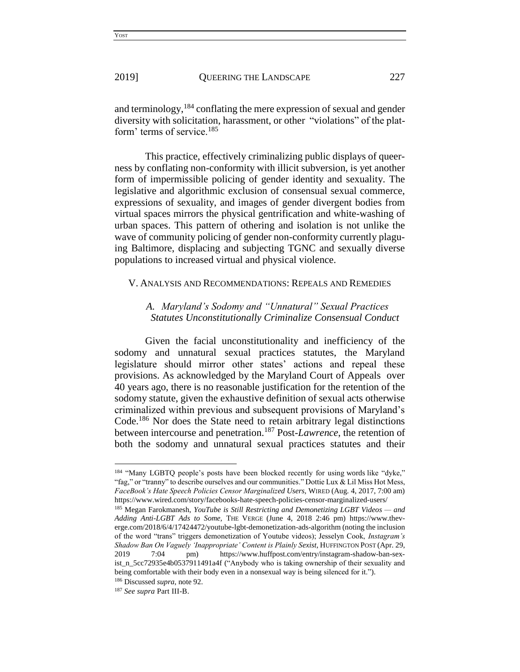and terminology,<sup>184</sup> conflating the mere expression of sexual and gender diversity with solicitation, harassment, or other "violations" of the platform' terms of service.<sup>185</sup>

This practice, effectively criminalizing public displays of queerness by conflating non-conformity with illicit subversion, is yet another form of impermissible policing of gender identity and sexuality. The legislative and algorithmic exclusion of consensual sexual commerce, expressions of sexuality, and images of gender divergent bodies from virtual spaces mirrors the physical gentrification and white-washing of urban spaces. This pattern of othering and isolation is not unlike the wave of community policing of gender non-conformity currently plaguing Baltimore, displacing and subjecting TGNC and sexually diverse populations to increased virtual and physical violence.

#### V. ANALYSIS AND RECOMMENDATIONS: REPEALS AND REMEDIES

## *A. Maryland's Sodomy and "Unnatural" Sexual Practices Statutes Unconstitutionally Criminalize Consensual Conduct*

Given the facial unconstitutionality and inefficiency of the sodomy and unnatural sexual practices statutes, the Maryland legislature should mirror other states' actions and repeal these provisions. As acknowledged by the Maryland Court of Appeals over 40 years ago, there is no reasonable justification for the retention of the sodomy statute, given the exhaustive definition of sexual acts otherwise criminalized within previous and subsequent provisions of Maryland's Code.<sup>186</sup> Nor does the State need to retain arbitrary legal distinctions between intercourse and penetration.<sup>187</sup> Post-*Lawrence*, the retention of both the sodomy and unnatural sexual practices statutes and their

 $\overline{\phantom{a}}$ 

<sup>&</sup>lt;sup>184</sup> "Many LGBTQ people's posts have been blocked recently for using words like "dyke," "fag," or "tranny" to describe ourselves and our communities." Dottie Lux & Lil Miss Hot Mess, *FaceBook's Hate Speech Policies Censor Marginalized Users,* WIRED (Aug. 4, 2017, 7:00 am) https://www.wired.com/story/facebooks-hate-speech-policies-censor-marginalized-users/

<sup>185</sup> Megan Farokmanesh, *YouTube is Still Restricting and Demonetizing LGBT Videos — and Adding Anti-LGBT Ads to Some,* THE VERGE (June 4, 2018 2:46 pm) https://www.theverge.com/2018/6/4/17424472/youtube-lgbt-demonetization-ads-algorithm (noting the inclusion of the word "trans" triggers demonetization of Youtube videos); Jesselyn Cook, *Instagram's Shadow Ban On Vaguely 'Inappropriate' Content is Plainly Sexist,* HUFFINGTON POST (Apr. 29, 2019 7:04 pm) https://www.huffpost.com/entry/instagram-shadow-ban-sexist\_n\_5cc72935e4b0537911491a4f ("Anybody who is taking ownership of their sexuality and being comfortable with their body even in a nonsexual way is being silenced for it.").

<sup>186</sup> Discussed *supra*, note 92.

<sup>187</sup> *See supra* Part III-B.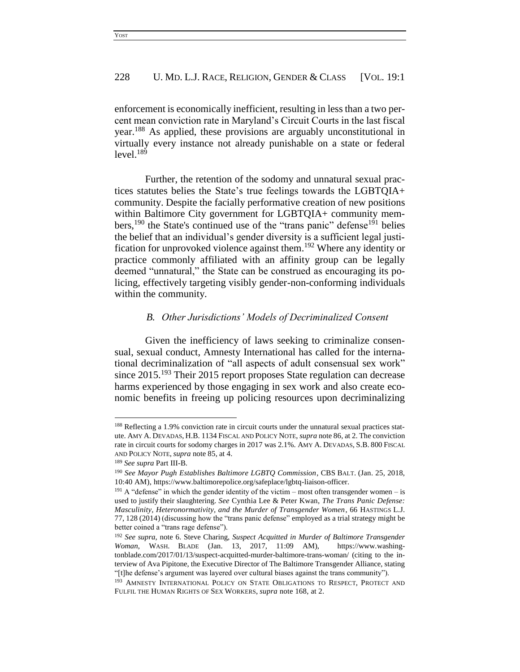enforcement is economically inefficient, resulting in less than a two percent mean conviction rate in Maryland's Circuit Courts in the last fiscal year.<sup>188</sup> As applied, these provisions are arguably unconstitutional in virtually every instance not already punishable on a state or federal  $level.<sup>189</sup>$ 

Further, the retention of the sodomy and unnatural sexual practices statutes belies the State's true feelings towards the LGBTQIA+ community. Despite the facially performative creation of new positions within Baltimore City government for LGBTQIA+ community members,  $190$  the State's continued use of the "trans panic" defense  $191$  belies the belief that an individual's gender diversity is a sufficient legal justification for unprovoked violence against them.<sup>192</sup> Where any identity or practice commonly affiliated with an affinity group can be legally deemed "unnatural," the State can be construed as encouraging its policing, effectively targeting visibly gender-non-conforming individuals within the community.

#### *B. Other Jurisdictions' Models of Decriminalized Consent*

Given the inefficiency of laws seeking to criminalize consensual, sexual conduct, Amnesty International has called for the international decriminalization of "all aspects of adult consensual sex work" since 2015.<sup>193</sup> Their 2015 report proposes State regulation can decrease harms experienced by those engaging in sex work and also create economic benefits in freeing up policing resources upon decriminalizing

<sup>188</sup> Reflecting a 1.9% conviction rate in circuit courts under the unnatural sexual practices statute. AMY A. DEVADAS, H.B. 1134 FISCAL AND POLICY NOTE, *supra* note 86, at 2. The conviction rate in circuit courts for sodomy charges in 2017 was 2.1%. AMY A. DEVADAS, S.B. 800 FISCAL AND POLICY NOTE, *supra* note 85, at 4.

<sup>189</sup> *See supra* Part III-B.

<sup>190</sup> *See Mayor Pugh Establishes Baltimore LGBTQ Commission*, CBS BALT. (Jan. 25, 2018, 10:40 AM), https://www.baltimorepolice.org/safeplace/lgbtq-liaison-officer.

 $191$  A "defense" in which the gender identity of the victim – most often transgender women – is used to justify their slaughtering. *See* Cynthia Lee & Peter Kwan, *The Trans Panic Defense: Masculinity, Heteronormativity, and the Murder of Transgender Women*, 66 HASTINGS L.J. 77, 128 (2014) (discussing how the "trans panic defense" employed as a trial strategy might be better coined a "trans rage defense").

<sup>192</sup> *See supra*, note 6. Steve Charing, *Suspect Acquitted in Murder of Baltimore Transgender Woman*, WASH. BLADE (Jan. 13, 2017, 11:09 AM), https://www.washingtonblade.com/2017/01/13/suspect-acquitted-murder-baltimore-trans-woman/ (citing to the interview of Ava Pipitone, the Executive Director of The Baltimore Transgender Alliance, stating "[t]he defense's argument was layered over cultural biases against the trans community").

<sup>&</sup>lt;sup>193</sup> AMNESTY INTERNATIONAL POLICY ON STATE OBLIGATIONS TO RESPECT, PROTECT AND FULFIL THE HUMAN RIGHTS OF SEX WORKERS, *supra* note 168, at 2.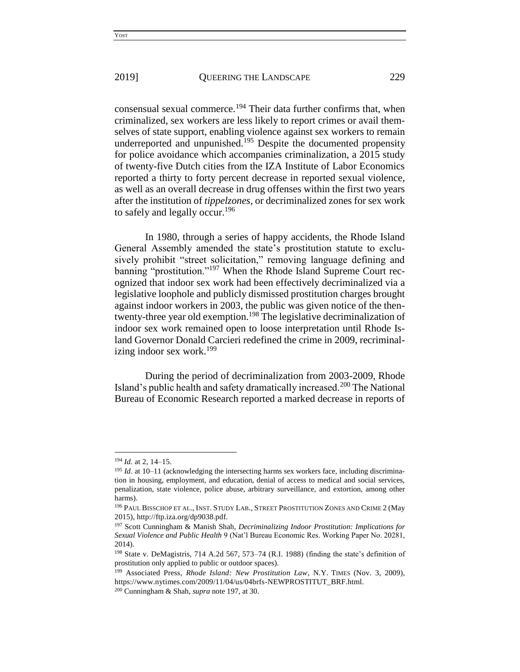consensual sexual commerce.<sup>194</sup> Their data further confirms that, when criminalized, sex workers are less likely to report crimes or avail themselves of state support, enabling violence against sex workers to remain underreported and unpunished.<sup>195</sup> Despite the documented propensity for police avoidance which accompanies criminalization, a 2015 study of twenty-five Dutch cities from the IZA Institute of Labor Economics reported a thirty to forty percent decrease in reported sexual violence, as well as an overall decrease in drug offenses within the first two years after the institution of *tippelzones*, or decriminalized zones for sex work to safely and legally occur.<sup>196</sup>

In 1980, through a series of happy accidents, the Rhode Island General Assembly amended the state's prostitution statute to exclusively prohibit "street solicitation," removing language defining and banning "prostitution."<sup>197</sup> When the Rhode Island Supreme Court recognized that indoor sex work had been effectively decriminalized via a legislative loophole and publicly dismissed prostitution charges brought against indoor workers in 2003, the public was given notice of the thentwenty-three year old exemption.<sup>198</sup> The legislative decriminalization of indoor sex work remained open to loose interpretation until Rhode Island Governor Donald Carcieri redefined the crime in 2009, recriminalizing indoor sex work.<sup>199</sup>

During the period of decriminalization from 2003-2009, Rhode Island's public health and safety dramatically increased.<sup>200</sup> The National Bureau of Economic Research reported a marked decrease in reports of

<sup>194</sup> *Id.* at 2, 14–15.

<sup>&</sup>lt;sup>195</sup> *Id.* at 10–11 (acknowledging the intersecting harms sex workers face, including discrimination in housing, employment, and education, denial of access to medical and social services, penalization, state violence, police abuse, arbitrary surveillance, and extortion, among other harms).

<sup>196</sup> PAUL BISSCHOP ET AL., INST. STUDY LAB., STREET PROSTITUTION ZONES AND CRIME 2 (May 2015), http://ftp.iza.org/dp9038.pdf.

<sup>197</sup> Scott Cunningham & Manish Shah, *Decriminalizing Indoor Prostitution: Implications for Sexual Violence and Public Health* 9 (Nat'l Bureau Economic Res. Working Paper No. 20281, 2014).

<sup>198</sup> State v. DeMagistris, 714 A.2d 567, 573–74 (R.I. 1988) (finding the state's definition of prostitution only applied to public or outdoor spaces).

<sup>&</sup>lt;sup>199</sup> Associated Press, *Rhode Island: New Prostitution Law*, N.Y. TIMES (Nov. 3, 2009), https://www.nytimes.com/2009/11/04/us/04brfs-NEWPROSTITUT\_BRF.html.

<sup>200</sup> Cunningham & Shah, *supra* note 197, at 30.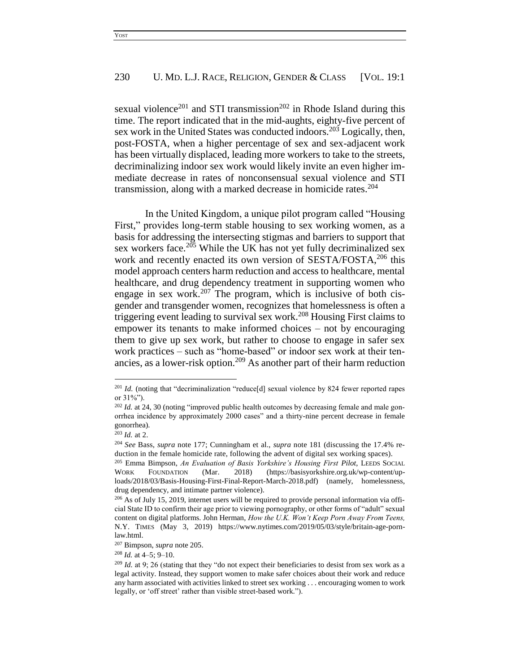sexual violence<sup>201</sup> and STI transmission<sup>202</sup> in Rhode Island during this time. The report indicated that in the mid-aughts, eighty-five percent of sex work in the United States was conducted indoors.<sup>203</sup> Logically, then, post-FOSTA, when a higher percentage of sex and sex-adjacent work has been virtually displaced, leading more workers to take to the streets, decriminalizing indoor sex work would likely invite an even higher immediate decrease in rates of nonconsensual sexual violence and STI transmission, along with a marked decrease in homicide rates. 204

In the United Kingdom, a unique pilot program called "Housing First," provides long-term stable housing to sex working women, as a basis for addressing the intersecting stigmas and barriers to support that sex workers face. $205$  While the UK has not yet fully decriminalized sex work and recently enacted its own version of SESTA/FOSTA,<sup>206</sup> this model approach centers harm reduction and access to healthcare, mental healthcare, and drug dependency treatment in supporting women who engage in sex work.<sup>207</sup> The program, which is inclusive of both cisgender and transgender women, recognizes that homelessness is often a triggering event leading to survival sex work.<sup>208</sup> Housing First claims to empower its tenants to make informed choices – not by encouraging them to give up sex work, but rather to choose to engage in safer sex work practices – such as "home-based" or indoor sex work at their tenancies, as a lower-risk option.<sup>209</sup> As another part of their harm reduction

<sup>&</sup>lt;sup>201</sup> Id. (noting that "decriminalization "reduce[d] sexual violence by 824 fewer reported rapes or 31%").

<sup>&</sup>lt;sup>202</sup> Id. at 24, 30 (noting "improved public health outcomes by decreasing female and male gonorrhea incidence by approximately 2000 cases" and a thirty-nine percent decrease in female gonorrhea).

<sup>203</sup> *Id.* at 2.

<sup>204</sup> *See* Bass, *supra* note 177; Cunningham et al., *supra* note 181 (discussing the 17.4% reduction in the female homicide rate, following the advent of digital sex working spaces).

<sup>205</sup> Emma Bimpson, *An Evaluation of Basis Yorkshire's Housing First Pilot*, LEEDS SOCIAL WORK FOUNDATION (Mar. 2018) (https://basisyorkshire.org.uk/wp-content/uploads/2018/03/Basis-Housing-First-Final-Report-March-2018.pdf) (namely, homelessness, drug dependency, and intimate partner violence).

 $^{206}$  As of July 15, 2019, internet users will be required to provide personal information via official State ID to confirm their age prior to viewing pornography, or other forms of "adult" sexual content on digital platforms. John Herman, *How the U.K. Won't Keep Porn Away From Teens,* N.Y. TIMES (May 3, 2019) https://www.nytimes.com/2019/05/03/style/britain-age-pornlaw.html.

<sup>207</sup> Bimpson, *supra* note 205.

<sup>208</sup> *Id.* at 4–5; 9–10.

<sup>&</sup>lt;sup>209</sup> *Id.* at 9; 26 (stating that they "do not expect their beneficiaries to desist from sex work as a legal activity. Instead, they support women to make safer choices about their work and reduce any harm associated with activities linked to street sex working . . . encouraging women to work legally, or 'off street' rather than visible street-based work.").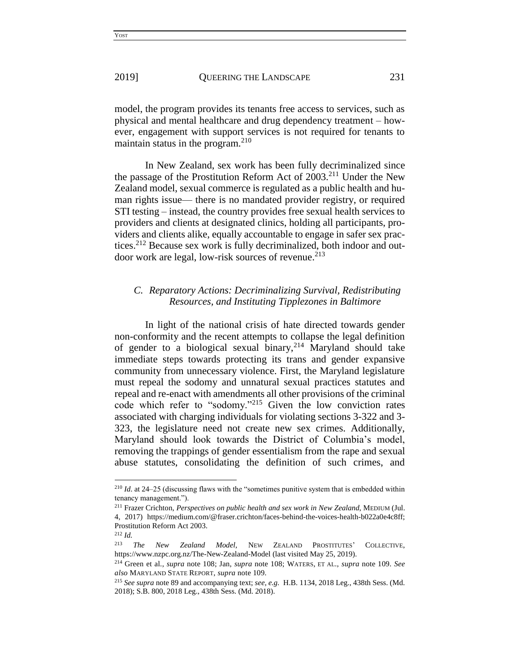model, the program provides its tenants free access to services, such as physical and mental healthcare and drug dependency treatment – however, engagement with support services is not required for tenants to maintain status in the program.<sup>210</sup>

In New Zealand, sex work has been fully decriminalized since the passage of the Prostitution Reform Act of 2003.<sup>211</sup> Under the New Zealand model, sexual commerce is regulated as a public health and human rights issue— there is no mandated provider registry, or required STI testing – instead, the country provides free sexual health services to providers and clients at designated clinics, holding all participants, providers and clients alike, equally accountable to engage in safer sex practices. <sup>212</sup> Because sex work is fully decriminalized, both indoor and outdoor work are legal, low-risk sources of revenue. 213

## *C. Reparatory Actions: Decriminalizing Survival, Redistributing Resources, and Instituting Tipplezones in Baltimore*

In light of the national crisis of hate directed towards gender non-conformity and the recent attempts to collapse the legal definition of gender to a biological sexual binary,  $2^{14}$  Maryland should take immediate steps towards protecting its trans and gender expansive community from unnecessary violence. First, the Maryland legislature must repeal the sodomy and unnatural sexual practices statutes and repeal and re-enact with amendments all other provisions of the criminal code which refer to "sodomy."<sup>215</sup> Given the low conviction rates associated with charging individuals for violating sections 3-322 and 3- 323, the legislature need not create new sex crimes. Additionally, Maryland should look towards the District of Columbia's model, removing the trappings of gender essentialism from the rape and sexual abuse statutes, consolidating the definition of such crimes, and

<sup>210</sup> *Id*. at 24–25 (discussing flaws with the "sometimes punitive system that is embedded within tenancy management.").

<sup>211</sup> Frazer Crichton, *Perspectives on public health and sex work in New Zealand*, MEDIUM (Jul. 4, 2017) https://medium.com/@fraser.crichton/faces-behind-the-voices-health-b022a0e4c8ff; Prostitution Reform Act 2003.

<sup>212</sup> *Id.* 

<sup>213</sup> *The New Zealand Model,* NEW ZEALAND PROSTITUTES' COLLECTIVE, https://www.nzpc.org.nz/The-New-Zealand-Model (last visited May 25, 2019).

<sup>214</sup> Green et al., *supra* note 108; Jan, *supra* note 108; WATERS, ET AL., *supra* note 109. *See also* MARYLAND STATE REPORT, *supra* note 109.

<sup>215</sup> *See supra* note 89 and accompanying text; *see, e.g.* H.B. 1134, 2018 Leg., 438th Sess. (Md. 2018); S.B. 800, 2018 Leg., 438th Sess. (Md. 2018).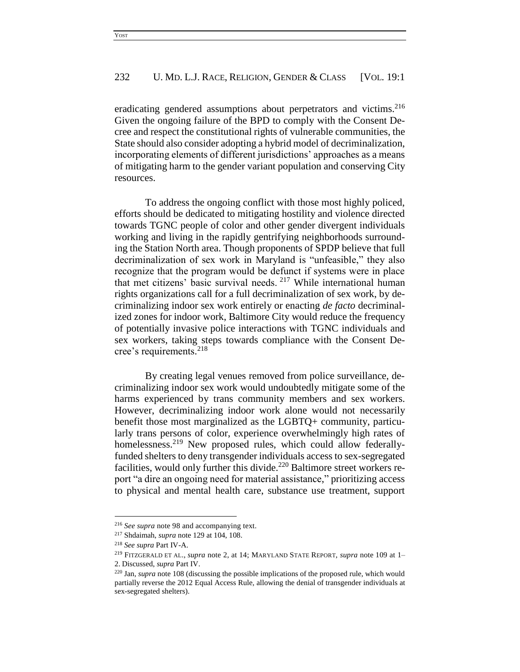eradicating gendered assumptions about perpetrators and victims.<sup>216</sup> Given the ongoing failure of the BPD to comply with the Consent Decree and respect the constitutional rights of vulnerable communities, the State should also consider adopting a hybrid model of decriminalization, incorporating elements of different jurisdictions' approaches as a means of mitigating harm to the gender variant population and conserving City resources.

To address the ongoing conflict with those most highly policed, efforts should be dedicated to mitigating hostility and violence directed towards TGNC people of color and other gender divergent individuals working and living in the rapidly gentrifying neighborhoods surrounding the Station North area. Though proponents of SPDP believe that full decriminalization of sex work in Maryland is "unfeasible," they also recognize that the program would be defunct if systems were in place that met citizens' basic survival needs. <sup>217</sup> While international human rights organizations call for a full decriminalization of sex work, by decriminalizing indoor sex work entirely or enacting *de facto* decriminalized zones for indoor work, Baltimore City would reduce the frequency of potentially invasive police interactions with TGNC individuals and sex workers, taking steps towards compliance with the Consent Decree's requirements. 218

By creating legal venues removed from police surveillance, decriminalizing indoor sex work would undoubtedly mitigate some of the harms experienced by trans community members and sex workers. However, decriminalizing indoor work alone would not necessarily benefit those most marginalized as the LGBTQ+ community, particularly trans persons of color, experience overwhelmingly high rates of homelessness.<sup>219</sup> New proposed rules, which could allow federallyfunded shelters to deny transgender individuals access to sex-segregated facilities, would only further this divide.<sup>220</sup> Baltimore street workers report "a dire an ongoing need for material assistance," prioritizing access to physical and mental health care, substance use treatment, support

 $\overline{\phantom{a}}$ 

<sup>216</sup> *See supra* note 98 and accompanying text.

<sup>217</sup> Shdaimah, *supra* note 129 at 104, 108.

<sup>218</sup> *See supra* Part IV-A.

<sup>219</sup> FITZGERALD ET AL., *supra* note 2, at 14; MARYLAND STATE REPORT, *supra* note 109 at 1– 2. Discussed, *supra* Part IV.

<sup>220</sup> Jan, *supra* note 108 (discussing the possible implications of the proposed rule, which would partially reverse the 2012 Equal Access Rule, allowing the denial of transgender individuals at sex-segregated shelters).